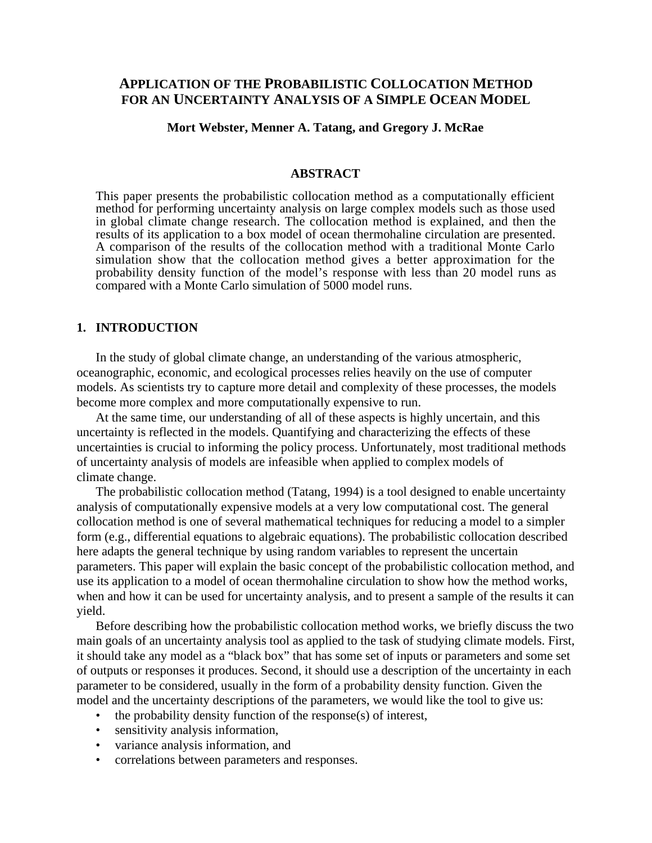# **APPLICATION OF THE PROBABILISTIC COLLOCATION METHOD FOR AN UNCERTAINTY ANALYSIS OF A SIMPLE OCEAN MODEL**

#### **Mort Webster, Menner A. Tatang, and Gregory J. McRae**

#### **ABSTRACT**

This paper presents the probabilistic collocation method as a computationally efficient method for performing uncertainty analysis on large complex models such as those used in global climate change research. The collocation method is explained, and then the results of its application to a box model of ocean thermohaline circulation are presented. A comparison of the results of the collocation method with a traditional Monte Carlo simulation show that the collocation method gives a better approximation for the probability density function of the model's response with less than 20 model runs as compared with a Monte Carlo simulation of 5000 model runs.

## **1. INTRODUCTION**

In the study of global climate change, an understanding of the various atmospheric, oceanographic, economic, and ecological processes relies heavily on the use of computer models. As scientists try to capture more detail and complexity of these processes, the models become more complex and more computationally expensive to run.

At the same time, our understanding of all of these aspects is highly uncertain, and this uncertainty is reflected in the models. Quantifying and characterizing the effects of these uncertainties is crucial to informing the policy process. Unfortunately, most traditional methods of uncertainty analysis of models are infeasible when applied to complex models of climate change.

The probabilistic collocation method (Tatang, 1994) is a tool designed to enable uncertainty analysis of computationally expensive models at a very low computational cost. The general collocation method is one of several mathematical techniques for reducing a model to a simpler form (e.g., differential equations to algebraic equations). The probabilistic collocation described here adapts the general technique by using random variables to represent the uncertain parameters. This paper will explain the basic concept of the probabilistic collocation method, and use its application to a model of ocean thermohaline circulation to show how the method works, when and how it can be used for uncertainty analysis, and to present a sample of the results it can yield.

Before describing how the probabilistic collocation method works, we briefly discuss the two main goals of an uncertainty analysis tool as applied to the task of studying climate models. First, it should take any model as a "black box" that has some set of inputs or parameters and some set of outputs or responses it produces. Second, it should use a description of the uncertainty in each parameter to be considered, usually in the form of a probability density function. Given the model and the uncertainty descriptions of the parameters, we would like the tool to give us:

- the probability density function of the response(s) of interest,
- sensitivity analysis information,
- variance analysis information, and
- correlations between parameters and responses.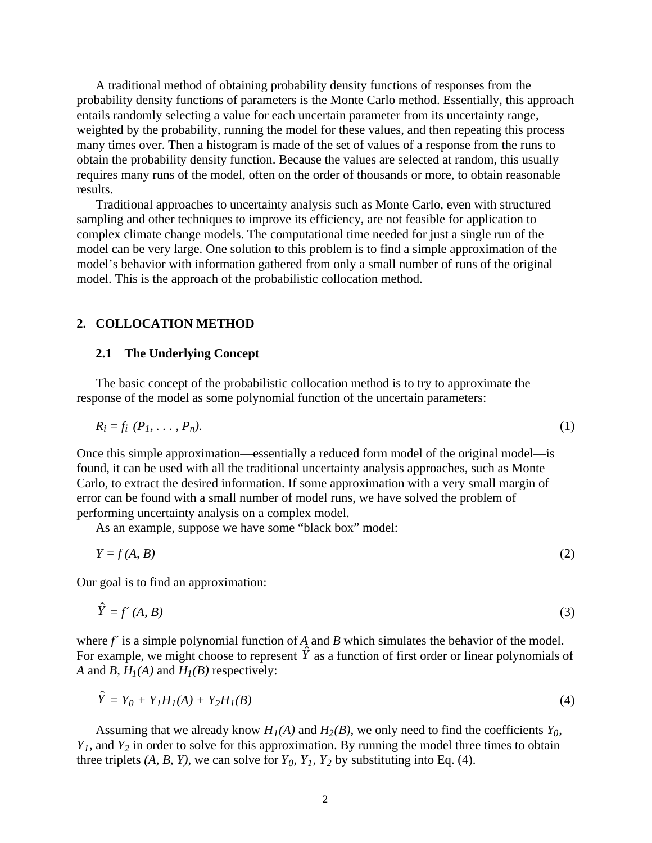A traditional method of obtaining probability density functions of responses from the probability density functions of parameters is the Monte Carlo method. Essentially, this approach entails randomly selecting a value for each uncertain parameter from its uncertainty range, weighted by the probability, running the model for these values, and then repeating this process many times over. Then a histogram is made of the set of values of a response from the runs to obtain the probability density function. Because the values are selected at random, this usually requires many runs of the model, often on the order of thousands or more, to obtain reasonable results.

Traditional approaches to uncertainty analysis such as Monte Carlo, even with structured sampling and other techniques to improve its efficiency, are not feasible for application to complex climate change models. The computational time needed for just a single run of the model can be very large. One solution to this problem is to find a simple approximation of the model's behavior with information gathered from only a small number of runs of the original model. This is the approach of the probabilistic collocation method.

### **2. COLLOCATION METHOD**

#### **2.1 The Underlying Concept**

The basic concept of the probabilistic collocation method is to try to approximate the response of the model as some polynomial function of the uncertain parameters:

$$
R_i = f_i \ (P_1, \ldots, P_n). \tag{1}
$$

Once this simple approximation—essentially a reduced form model of the original model—is found, it can be used with all the traditional uncertainty analysis approaches, such as Monte Carlo, to extract the desired information. If some approximation with a very small margin of error can be found with a small number of model runs, we have solved the problem of performing uncertainty analysis on a complex model.

As an example, suppose we have some "black box" model:

$$
Y = f(A, B) \tag{2}
$$

Our goal is to find an approximation:

$$
\hat{Y} = f'(A, B) \tag{3}
$$

where *f* is a simple polynomial function of *A* and *B* which simulates the behavior of the model. For example, we might choose to represent  $\hat{Y}$  as a function of first order or linear polynomials of *A* and *B*,  $H_1(A)$  and  $H_1(B)$  respectively:

$$
\hat{Y} = Y_0 + Y_1 H_1(A) + Y_2 H_1(B)
$$
\n(4)

Assuming that we already know  $H_1(A)$  and  $H_2(B)$ , we only need to find the coefficients  $Y_0$ ,  $Y_1$ , and  $Y_2$  in order to solve for this approximation. By running the model three times to obtain three triplets  $(A, B, Y)$ , we can solve for  $Y_0$ ,  $Y_1$ ,  $Y_2$  by substituting into Eq. (4).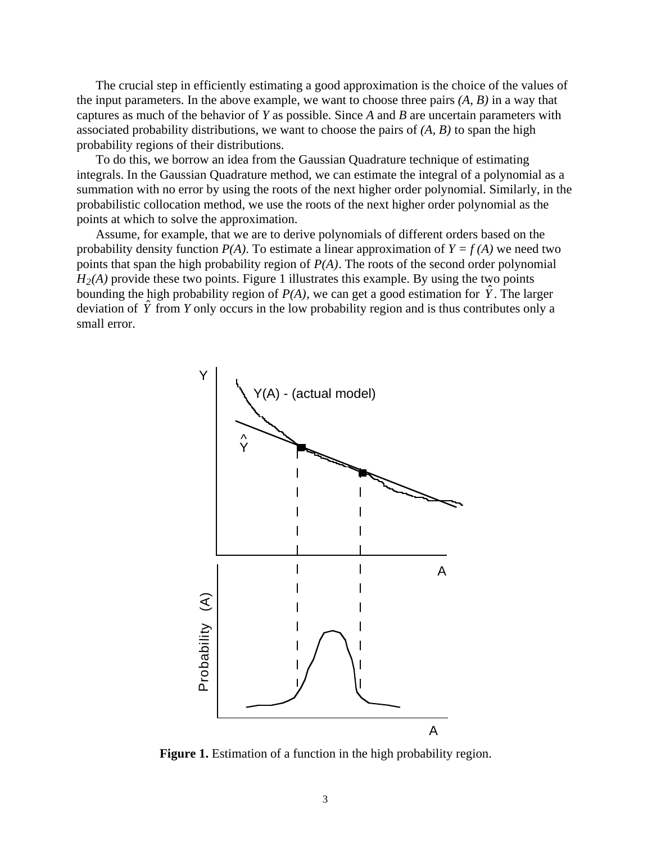The crucial step in efficiently estimating a good approximation is the choice of the values of the input parameters. In the above example, we want to choose three pairs *(A, B)* in a way that captures as much of the behavior of *Y* as possible. Since *A* and *B* are uncertain parameters with associated probability distributions, we want to choose the pairs of *(A, B)* to span the high probability regions of their distributions.

To do this, we borrow an idea from the Gaussian Quadrature technique of estimating integrals. In the Gaussian Quadrature method, we can estimate the integral of a polynomial as a summation with no error by using the roots of the next higher order polynomial. Similarly, in the probabilistic collocation method, we use the roots of the next higher order polynomial as the points at which to solve the approximation.

Assume, for example, that we are to derive polynomials of different orders based on the probability density function  $P(A)$ . To estimate a linear approximation of  $Y = f(A)$  we need two points that span the high probability region of *P(A)*. The roots of the second order polynomial  $H<sub>2</sub>(A)$  provide these two points. Figure 1 illustrates this example. By using the two points bounding the high probability region of  $P(A)$ , we can get a good estimation for  $\hat{Y}$ . The larger deviation of  $\hat{Y}$  from *Y* only occurs in the low probability region and is thus contributes only a small error.



**Figure 1.** Estimation of a function in the high probability region.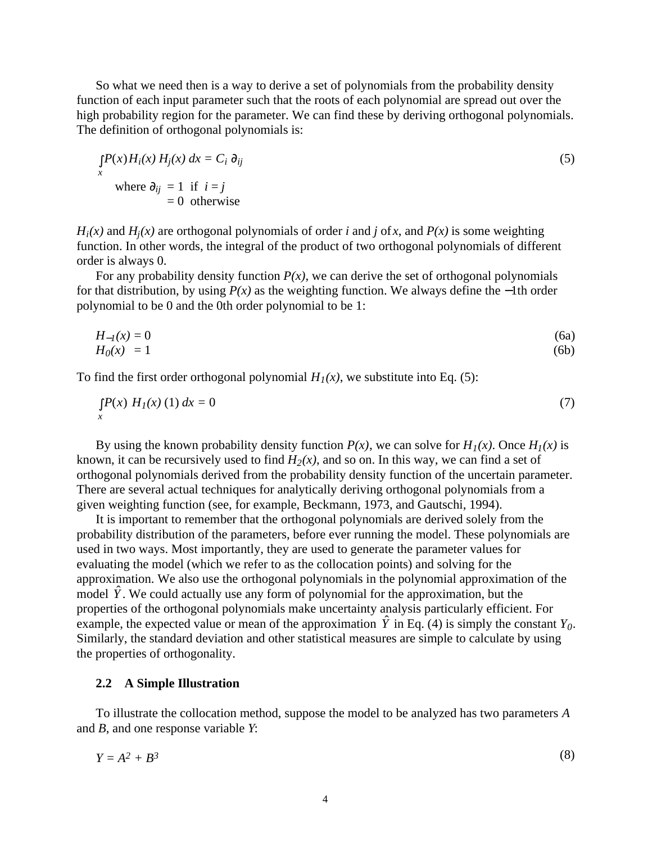So what we need then is a way to derive a set of polynomials from the probability density function of each input parameter such that the roots of each polynomial are spread out over the high probability region for the parameter. We can find these by deriving orthogonal polynomials. The definition of orthogonal polynomials is:

$$
\int_{x} P(x) H_i(x) H_j(x) dx = C_i \partial_{ij}
$$
  
where  $\partial_{ij} = 1$  if  $i = j$   
= 0 otherwise (5)

 $H_i(x)$  and  $H_i(x)$  are orthogonal polynomials of order *i* and *j* of *x*, and  $P(x)$  is some weighting function. In other words, the integral of the product of two orthogonal polynomials of different order is always 0.

For any probability density function  $P(x)$ , we can derive the set of orthogonal polynomials for that distribution, by using *P(x)* as the weighting function. We always define the −1th order polynomial to be 0 and the 0th order polynomial to be 1:

$$
H_{-1}(x) = 0
$$
\n
$$
H_0(x) = 1
$$
\n(6a)\n(6b)

To find the first order orthogonal polynomial  $H_1(x)$ , we substitute into Eq. (5):

$$
\int_{x} P(x) H_{1}(x) (1) dx = 0
$$
\n(7)

By using the known probability density function  $P(x)$ , we can solve for  $H_1(x)$ . Once  $H_1(x)$  is known, it can be recursively used to find  $H_2(x)$ , and so on. In this way, we can find a set of orthogonal polynomials derived from the probability density function of the uncertain parameter. There are several actual techniques for analytically deriving orthogonal polynomials from a given weighting function (see, for example, Beckmann, 1973, and Gautschi, 1994).

It is important to remember that the orthogonal polynomials are derived solely from the probability distribution of the parameters, before ever running the model. These polynomials are used in two ways. Most importantly, they are used to generate the parameter values for evaluating the model (which we refer to as the collocation points) and solving for the approximation. We also use the orthogonal polynomials in the polynomial approximation of the model  $\hat{Y}$ . We could actually use any form of polynomial for the approximation, but the properties of the orthogonal polynomials make uncertainty analysis particularly efficient. For example, the expected value or mean of the approximation  $\hat{Y}$  in Eq. (4) is simply the constant  $Y_0$ . Similarly, the standard deviation and other statistical measures are simple to calculate by using the properties of orthogonality.

#### **2.2 A Simple Illustration**

To illustrate the collocation method, suppose the model to be analyzed has two parameters *A* and *B*, and one response variable *Y*:

$$
Y = A^2 + B^3 \tag{8}
$$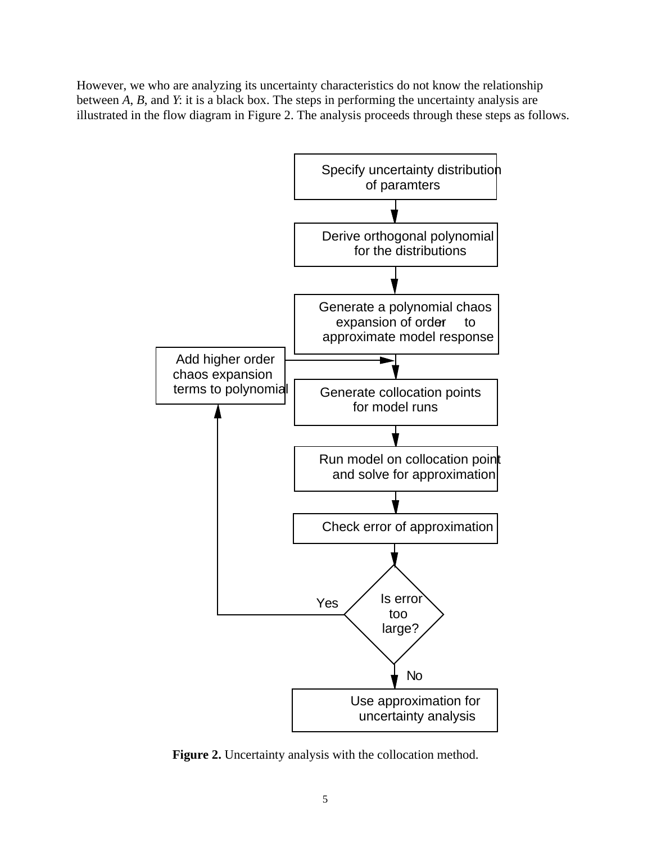However, we who are analyzing its uncertainty characteristics do not know the relationship between *A*, *B*, and *Y*: it is a black box. The steps in performing the uncertainty analysis are illustrated in the flow diagram in Figure 2. The analysis proceeds through these steps as follows.



**Figure 2.** Uncertainty analysis with the collocation method.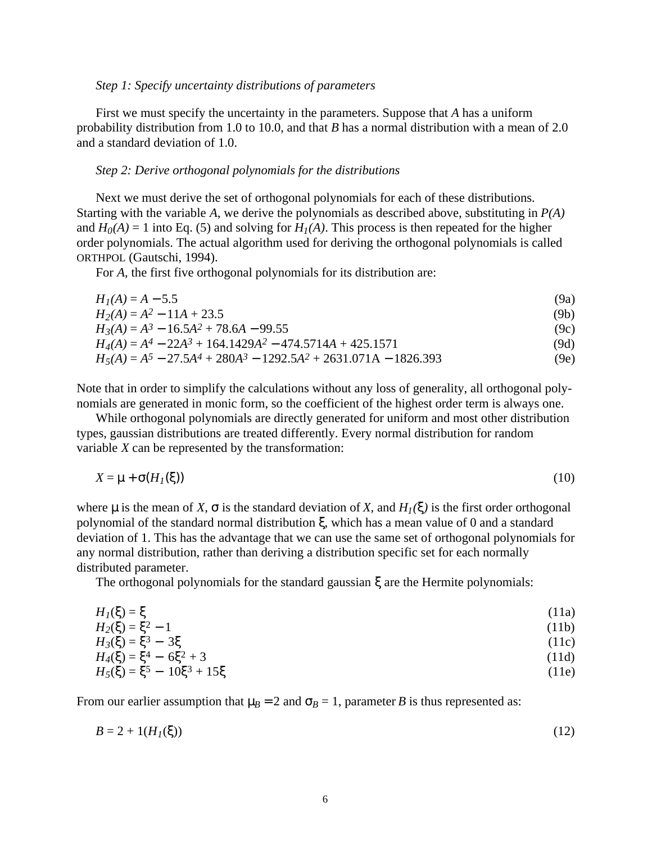#### *Step 1: Specify uncertainty distributions of parameters*

First we must specify the uncertainty in the parameters. Suppose that *A* has a uniform probability distribution from 1.0 to 10.0, and that *B* has a normal distribution with a mean of 2.0 and a standard deviation of 1.0.

#### *Step 2: Derive orthogonal polynomials for the distributions*

Next we must derive the set of orthogonal polynomials for each of these distributions. Starting with the variable *A*, we derive the polynomials as described above, substituting in *P(A)* and  $H_0(A) = 1$  into Eq. (5) and solving for  $H_1(A)$ . This process is then repeated for the higher order polynomials. The actual algorithm used for deriving the orthogonal polynomials is called ORTHPOL (Gautschi, 1994).

For *A*, the first five orthogonal polynomials for its distribution are:

| $H_I(A) = A - 5.5$                                                   | (9a) |
|----------------------------------------------------------------------|------|
| $H_2(A) = A^2 - 11A + 23.5$                                          | (9b) |
| $H_3(A) = A^3 - 16.5A^2 + 78.6A - 99.55$                             | (9c) |
| $H_4(A) = A^4 - 22A^3 + 164.1429A^2 - 474.5714A + 425.1571$          | (9d) |
| $H_5(A) = A^5 - 27.5A^4 + 280A^3 - 1292.5A^2 + 2631.071A - 1826.393$ | (9e) |

Note that in order to simplify the calculations without any loss of generality, all orthogonal polynomials are generated in monic form, so the coefficient of the highest order term is always one.

While orthogonal polynomials are directly generated for uniform and most other distribution types, gaussian distributions are treated differently. Every normal distribution for random variable *X* can be represented by the transformation:

$$
X = \mu + \sigma(H_I(\xi))
$$
\n(10)

where  $\mu$  is the mean of *X*,  $\sigma$  is the standard deviation of *X*, and  $H_1(\xi)$  is the first order orthogonal polynomial of the standard normal distribution ξ, which has a mean value of 0 and a standard deviation of 1. This has the advantage that we can use the same set of orthogonal polynomials for any normal distribution, rather than deriving a distribution specific set for each normally distributed parameter.

The orthogonal polynomials for the standard gaussian ξ are the Hermite polynomials:

$$
H_I(\xi) = \xi \tag{11a}
$$

$$
H_2(\xi) = \xi^2 - 1
$$
\n
$$
H_3(\xi) = \xi^3 - 3\xi
$$
\n
$$
H_4(\xi) = \xi^4 - 6\xi^2 + 3
$$
\n(11b)\n
$$
(11c)
$$
\n(11c)

$$
H_4(\xi) = \xi^4 - 6\xi^2 + 3 \tag{11d}
$$
  
\n
$$
H_5(\xi) = \xi^5 - 10\xi^3 + 15\xi \tag{11e}
$$

From our earlier assumption that  $\mu_B = 2$  and  $\sigma_B = 1$ , parameter *B* is thus represented as:

$$
B = 2 + 1(H_I(\xi))
$$
 (12)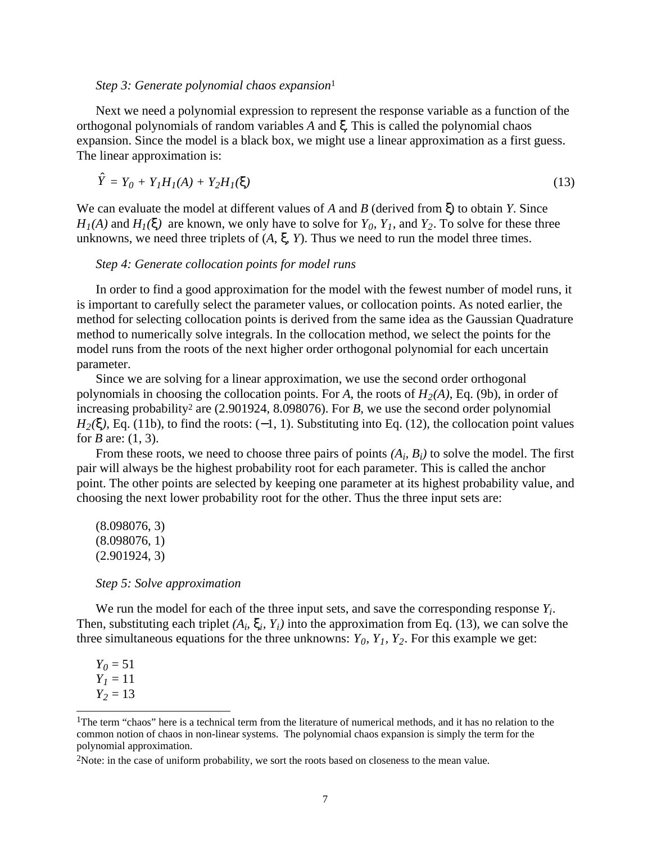#### *Step 3: Generate polynomial chaos expansion*<sup>1</sup>

Next we need a polynomial expression to represent the response variable as a function of the orthogonal polynomials of random variables *A* and ξ. This is called the polynomial chaos expansion. Since the model is a black box, we might use a linear approximation as a first guess. The linear approximation is:

$$
\hat{Y} = Y_0 + Y_1 H_I(A) + Y_2 H_I(\xi)
$$
\n(13)

We can evaluate the model at different values of *A* and *B* (derived from ξ) to obtain *Y*. Since  $H_1(A)$  and  $H_1(\xi)$  are known, we only have to solve for  $Y_0$ ,  $Y_1$ , and  $Y_2$ . To solve for these three unknowns, we need three triplets of  $(A, \xi, Y)$ . Thus we need to run the model three times.

### *Step 4: Generate collocation points for model runs*

In order to find a good approximation for the model with the fewest number of model runs, it is important to carefully select the parameter values, or collocation points. As noted earlier, the method for selecting collocation points is derived from the same idea as the Gaussian Quadrature method to numerically solve integrals. In the collocation method, we select the points for the model runs from the roots of the next higher order orthogonal polynomial for each uncertain parameter.

Since we are solving for a linear approximation, we use the second order orthogonal polynomials in choosing the collocation points. For *A*, the roots of  $H_2(A)$ , Eq. (9b), in order of increasing probability<sup>2</sup> are (2.901924, 8.098076). For *B*, we use the second order polynomial  $H_2(\xi)$ , Eq. (11b), to find the roots: (-1, 1). Substituting into Eq. (12), the collocation point values for *B* are: (1, 3).

From these roots, we need to choose three pairs of points *(Ai, Bi)* to solve the model. The first pair will always be the highest probability root for each parameter. This is called the anchor point. The other points are selected by keeping one parameter at its highest probability value, and choosing the next lower probability root for the other. Thus the three input sets are:

(8.098076, 3) (8.098076, 1) (2.901924, 3)

*Step 5: Solve approximation*

We run the model for each of the three input sets, and save the corresponding response *Yi*. Then, substituting each triplet  $(A_i, \xi_i, Y_i)$  into the approximation from Eq. (13), we can solve the three simultaneous equations for the three unknowns:  $Y_0$ ,  $Y_1$ ,  $Y_2$ . For this example we get:

 $Y_0 = 51$ *Y1* = 11  $Y_2 = 13$ 

 $\overline{a}$ <sup>1</sup>The term "chaos" here is a technical term from the literature of numerical methods, and it has no relation to the common notion of chaos in non-linear systems. The polynomial chaos expansion is simply the term for the polynomial approximation.

<sup>2</sup>Note: in the case of uniform probability, we sort the roots based on closeness to the mean value.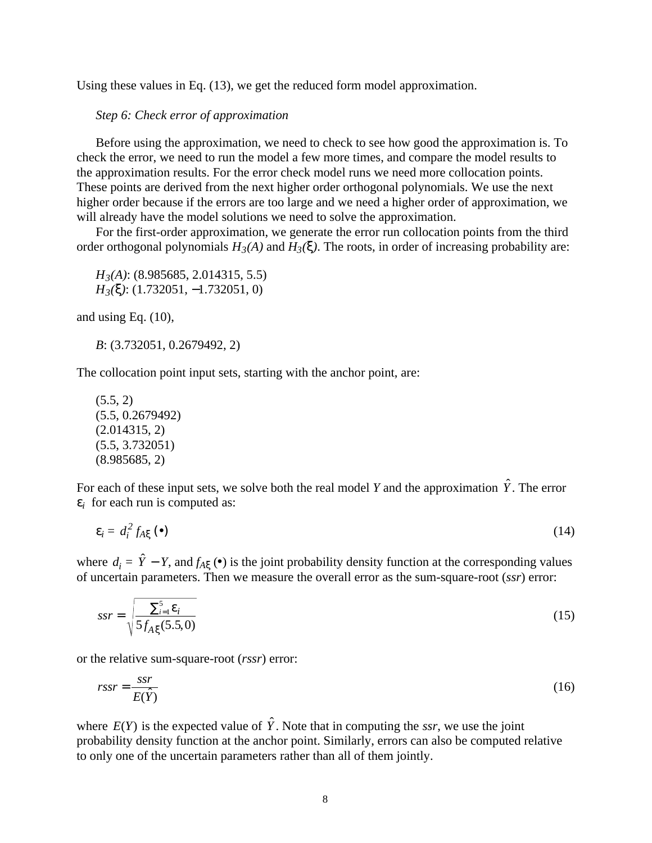Using these values in Eq. (13), we get the reduced form model approximation.

### *Step 6: Check error of approximation*

Before using the approximation, we need to check to see how good the approximation is. To check the error, we need to run the model a few more times, and compare the model results to the approximation results. For the error check model runs we need more collocation points. These points are derived from the next higher order orthogonal polynomials. We use the next higher order because if the errors are too large and we need a higher order of approximation, we will already have the model solutions we need to solve the approximation.

For the first-order approximation, we generate the error run collocation points from the third order orthogonal polynomials  $H_3(A)$  and  $H_3(\xi)$ . The roots, in order of increasing probability are:

*H3(A)*: (8.985685, 2.014315, 5.5) *H3(*ξ*)*: (1.732051, −1.732051, 0)

and using Eq. (10),

*B*: (3.732051, 0.2679492, 2)

The collocation point input sets, starting with the anchor point, are:

 $(5.5, 2)$ (5.5, 0.2679492) (2.014315, 2) (5.5, 3.732051) (8.985685, 2)

For each of these input sets, we solve both the real model *Y* and the approximation  $\hat{Y}$ . The error  $\varepsilon_i$  for each run is computed as:

$$
\varepsilon_i = d_i^2 f_{A\xi} \left( \bullet \right) \tag{14}
$$

where  $d_i = \hat{Y} - Y$ , and  $f_{A\xi}(\bullet)$  is the joint probability density function at the corresponding values of uncertain parameters. Then we measure the overall error as the sum-square-root (*ssr*) error:

$$
ssr = \sqrt{\frac{\sum_{i=1}^{5} \varepsilon_i}{5f_{A\xi}(5.5,0)}}
$$
(15)

or the relative sum-square-root (*rssr*) error:

$$
rssr = \frac{ssr}{E(\hat{Y})} \tag{16}
$$

where  $E(\hat{Y})$  is the expected value of  $\hat{Y}$ . Note that in computing the *ssr*, we use the joint probability density function at the anchor point. Similarly, errors can also be computed relative to only one of the uncertain parameters rather than all of them jointly.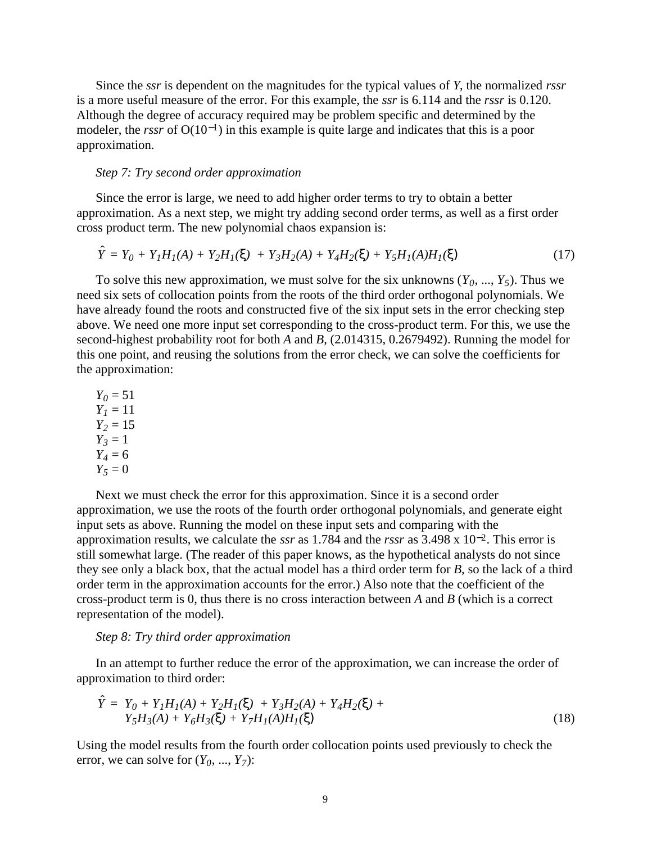Since the *ssr* is dependent on the magnitudes for the typical values of *Y*, the normalized *rssr* is a more useful measure of the error. For this example, the *ssr* is 6.114 and the *rssr* is 0.120. Although the degree of accuracy required may be problem specific and determined by the modeler, the *rssr* of O(10−1) in this example is quite large and indicates that this is a poor approximation.

### *Step 7: Try second order approximation*

Since the error is large, we need to add higher order terms to try to obtain a better approximation. As a next step, we might try adding second order terms, as well as a first order cross product term. The new polynomial chaos expansion is:

$$
\hat{Y} = Y_0 + Y_1 H_I(A) + Y_2 H_I(\xi) + Y_3 H_2(A) + Y_4 H_2(\xi) + Y_5 H_I(A) H_I(\xi)
$$
\n(17)

To solve this new approximation, we must solve for the six unknowns  $(Y_0, ..., Y_5)$ . Thus we need six sets of collocation points from the roots of the third order orthogonal polynomials. We have already found the roots and constructed five of the six input sets in the error checking step above. We need one more input set corresponding to the cross-product term. For this, we use the second-highest probability root for both *A* and *B*, (2.014315, 0.2679492). Running the model for this one point, and reusing the solutions from the error check, we can solve the coefficients for the approximation:

 $Y_0 = 51$  $Y_1 = 11$  $Y_2 = 15$  $Y_3 = 1$ *Y4* = 6  $Y_5 = 0$ 

Next we must check the error for this approximation. Since it is a second order approximation, we use the roots of the fourth order orthogonal polynomials, and generate eight input sets as above. Running the model on these input sets and comparing with the approximation results, we calculate the *ssr* as 1.784 and the *rssr* as 3.498 x 10−2. This error is still somewhat large. (The reader of this paper knows, as the hypothetical analysts do not since they see only a black box, that the actual model has a third order term for *B*, so the lack of a third order term in the approximation accounts for the error.) Also note that the coefficient of the cross-product term is 0, thus there is no cross interaction between *A* and *B* (which is a correct representation of the model).

#### *Step 8: Try third order approximation*

In an attempt to further reduce the error of the approximation, we can increase the order of approximation to third order:

$$
\hat{Y} = Y_0 + Y_1 H_1(A) + Y_2 H_1(\xi) + Y_3 H_2(A) + Y_4 H_2(\xi) + Y_5 H_3(A) + Y_6 H_3(\xi) + Y_7 H_1(A) H_1(\xi)
$$
\n(18)

Using the model results from the fourth order collocation points used previously to check the error, we can solve for  $(Y_0, ..., Y_7)$ :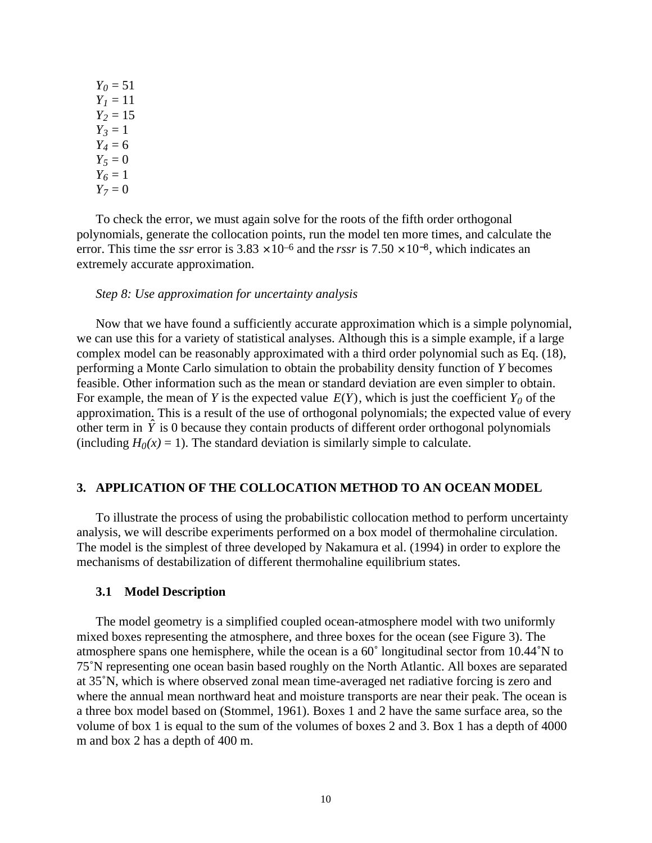$Y_0 = 51$  $Y_1 = 11$  $Y_2 = 15$  $Y_3 = 1$  $Y_4 = 6$  $Y_5 = 0$  $Y_6 = 1$  $Y_7 = 0$ 

To check the error, we must again solve for the roots of the fifth order orthogonal polynomials, generate the collocation points, run the model ten more times, and calculate the error. This time the *ssr* error is  $3.83 \times 10^{-6}$  and the *rssr* is  $7.50 \times 10^{-8}$ , which indicates an extremely accurate approximation.

#### *Step 8: Use approximation for uncertainty analysis*

Now that we have found a sufficiently accurate approximation which is a simple polynomial, we can use this for a variety of statistical analyses. Although this is a simple example, if a large complex model can be reasonably approximated with a third order polynomial such as Eq. (18), performing a Monte Carlo simulation to obtain the probability density function of *Y* becomes feasible. Other information such as the mean or standard deviation are even simpler to obtain. For example, the mean of *Y* is the expected value  $E(\hat{Y})$ , which is just the coefficient  $Y_0$  of the approximation. This is a result of the use of orthogonal polynomials; the expected value of every other term in  $\hat{Y}$  is 0 because they contain products of different order orthogonal polynomials (including  $H_0(x) = 1$ ). The standard deviation is similarly simple to calculate.

### **3. APPLICATION OF THE COLLOCATION METHOD TO AN OCEAN MODEL**

To illustrate the process of using the probabilistic collocation method to perform uncertainty analysis, we will describe experiments performed on a box model of thermohaline circulation. The model is the simplest of three developed by Nakamura et al. (1994) in order to explore the mechanisms of destabilization of different thermohaline equilibrium states.

#### **3.1 Model Description**

The model geometry is a simplified coupled ocean-atmosphere model with two uniformly mixed boxes representing the atmosphere, and three boxes for the ocean (see Figure 3). The atmosphere spans one hemisphere, while the ocean is a 60˚ longitudinal sector from 10.44˚N to 75˚N representing one ocean basin based roughly on the North Atlantic. All boxes are separated at 35˚N, which is where observed zonal mean time-averaged net radiative forcing is zero and where the annual mean northward heat and moisture transports are near their peak. The ocean is a three box model based on (Stommel, 1961). Boxes 1 and 2 have the same surface area, so the volume of box 1 is equal to the sum of the volumes of boxes 2 and 3. Box 1 has a depth of 4000 m and box 2 has a depth of 400 m.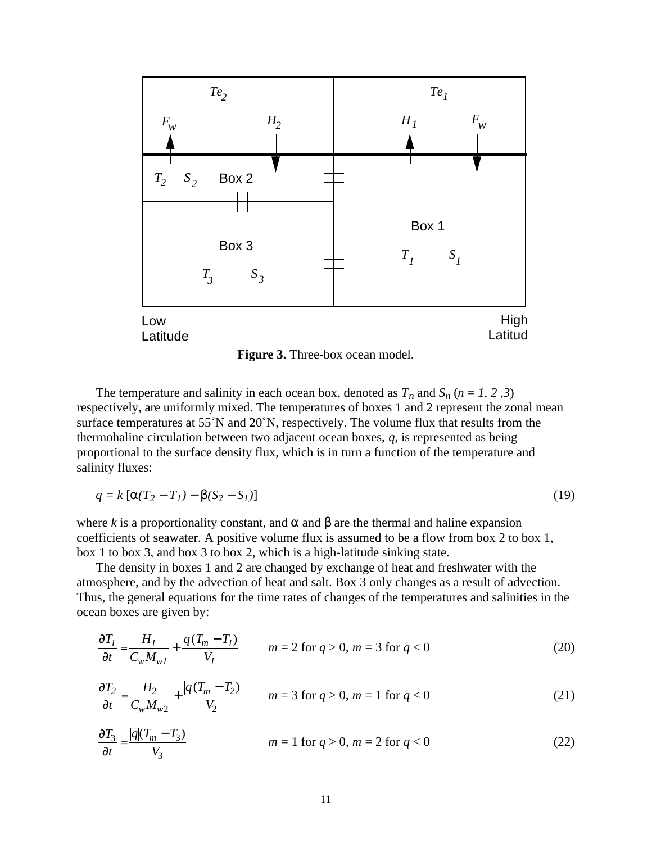

**Figure 3.** Three-box ocean model.

The temperature and salinity in each ocean box, denoted as  $T_n$  and  $S_n$  ( $n = 1, 2, 3$ ) respectively, are uniformly mixed. The temperatures of boxes 1 and 2 represent the zonal mean surface temperatures at 55˚N and 20˚N, respectively. The volume flux that results from the thermohaline circulation between two adjacent ocean boxes, *q*, is represented as being proportional to the surface density flux, which is in turn a function of the temperature and salinity fluxes:

$$
q = k \left[ \alpha (T_2 - T_1) - \beta (S_2 - S_1) \right] \tag{19}
$$

where *k* is a proportionality constant, and  $\alpha$  and  $\beta$  are the thermal and haline expansion coefficients of seawater. A positive volume flux is assumed to be a flow from box 2 to box 1, box 1 to box 3, and box 3 to box 2, which is a high-latitude sinking state.

The density in boxes 1 and 2 are changed by exchange of heat and freshwater with the atmosphere, and by the advection of heat and salt. Box 3 only changes as a result of advection. Thus, the general equations for the time rates of changes of the temperatures and salinities in the ocean boxes are given by:

$$
\frac{\partial T_I}{\partial t} = \frac{H_I}{C_w M_{wI}} + \frac{|q| (T_m - T_I)}{V_I} \qquad m = 2 \text{ for } q > 0, m = 3 \text{ for } q < 0 \tag{20}
$$

$$
\frac{\partial T_2}{\partial t} = \frac{H_2}{C_w M_{w2}} + \frac{|q| (T_m - T_2)}{V_2} \qquad m = 3 \text{ for } q > 0, m = 1 \text{ for } q < 0 \tag{21}
$$

$$
\frac{\partial T_3}{\partial t} = \frac{|q| (T_m - T_3)}{V_3}
$$
  $m = 1 \text{ for } q > 0, m = 2 \text{ for } q < 0$  (22)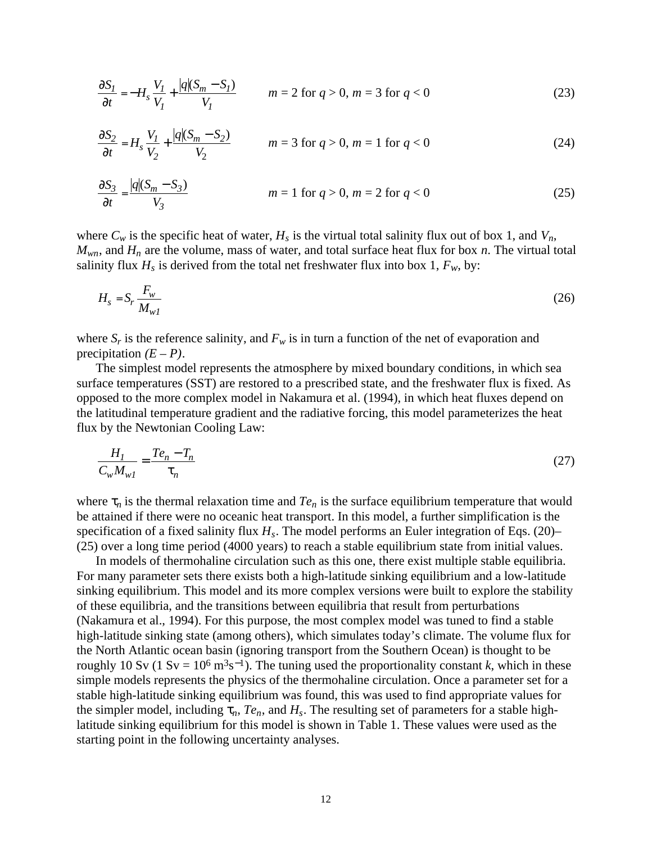$$
\frac{\partial S_I}{\partial t} = -H_s \frac{V_I}{V_I} + \frac{|q|(S_m - S_I)}{V_I} \qquad m = 2 \text{ for } q > 0, m = 3 \text{ for } q < 0 \tag{23}
$$

$$
\frac{\partial S_2}{\partial t} = H_s \frac{V_1}{V_2} + \frac{|q|(S_m - S_2)}{V_2} \qquad m = 3 \text{ for } q > 0, m = 1 \text{ for } q < 0 \tag{24}
$$

$$
\frac{\partial S_3}{\partial t} = \frac{|q|(S_m - S_3)}{V_3}
$$
  $m = 1 \text{ for } q > 0, m = 2 \text{ for } q < 0$  (25)

where  $C_w$  is the specific heat of water,  $H_s$  is the virtual total salinity flux out of box 1, and  $V_n$ ,  $M_{wn}$ , and  $H_n$  are the volume, mass of water, and total surface heat flux for box *n*. The virtual total salinity flux  $H_s$  is derived from the total net freshwater flux into box 1,  $F_w$ , by:

$$
H_s = S_r \frac{F_w}{M_{wI}} \tag{26}
$$

where  $S_r$  is the reference salinity, and  $F_w$  is in turn a function of the net of evaporation and precipitation  $(E - P)$ .

The simplest model represents the atmosphere by mixed boundary conditions, in which sea surface temperatures (SST) are restored to a prescribed state, and the freshwater flux is fixed. As opposed to the more complex model in Nakamura et al. (1994), in which heat fluxes depend on the latitudinal temperature gradient and the radiative forcing, this model parameterizes the heat flux by the Newtonian Cooling Law:

$$
\frac{H_I}{C_w M_{wI}} = \frac{Te_n - T_n}{\tau_n} \tag{27}
$$

where  $\tau_n$  is the thermal relaxation time and  $Te_n$  is the surface equilibrium temperature that would be attained if there were no oceanic heat transport. In this model, a further simplification is the specification of a fixed salinity flux *Hs*. The model performs an Euler integration of Eqs. (20)– (25) over a long time period (4000 years) to reach a stable equilibrium state from initial values.

In models of thermohaline circulation such as this one, there exist multiple stable equilibria. For many parameter sets there exists both a high-latitude sinking equilibrium and a low-latitude sinking equilibrium. This model and its more complex versions were built to explore the stability of these equilibria, and the transitions between equilibria that result from perturbations (Nakamura et al., 1994). For this purpose, the most complex model was tuned to find a stable high-latitude sinking state (among others), which simulates today's climate. The volume flux for the North Atlantic ocean basin (ignoring transport from the Southern Ocean) is thought to be roughly 10 Sv (1 Sv =  $10^6$  m<sup>3</sup>s<sup>-1</sup>). The tuning used the proportionality constant *k*, which in these simple models represents the physics of the thermohaline circulation. Once a parameter set for a stable high-latitude sinking equilibrium was found, this was used to find appropriate values for the simpler model, including  $\tau_n$ ,  $Te_n$ , and  $H_s$ . The resulting set of parameters for a stable highlatitude sinking equilibrium for this model is shown in Table 1. These values were used as the starting point in the following uncertainty analyses.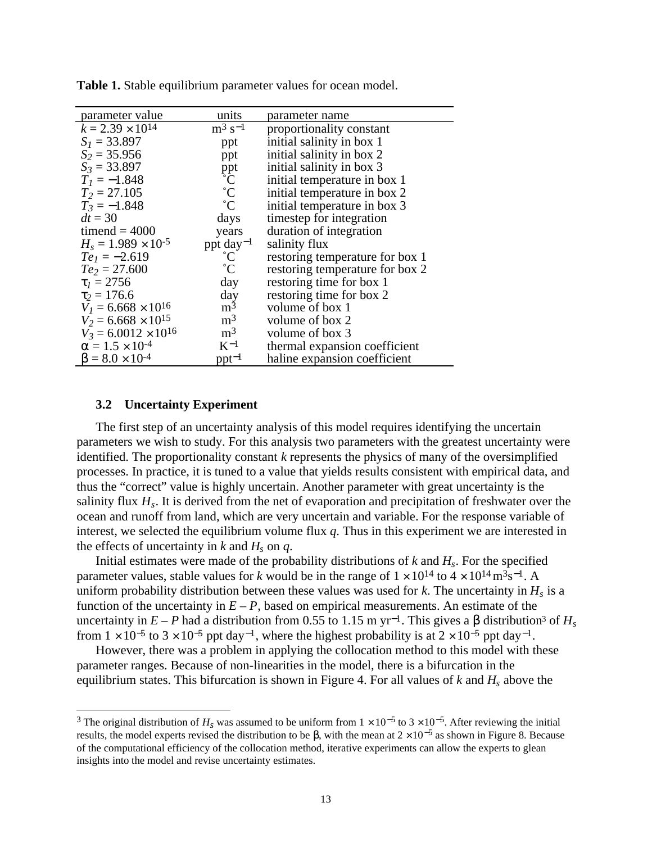| parameter value               | units             | parameter name                  |
|-------------------------------|-------------------|---------------------------------|
| $k = 2.39 \times 10^{14}$     | $\rm m^3\ s^{-1}$ | proportionality constant        |
| $S_1 = 33.897$                | ppt               | initial salinity in box 1       |
| $S_2 = 35.956$                | ppt               | initial salinity in box 2       |
| $S_3 = 33.897$                |                   | initial salinity in box 3       |
| $T_1 = -1.848$                | ppt<br>°C<br>°C   | initial temperature in box 1    |
| $T_2 = 27.105$                |                   | initial temperature in box 2    |
| $T_3 = -1.848$                | $\rm ^{\circ}C$   | initial temperature in box 3    |
| $dt = 30$                     | days              | timestep for integration        |
| timend = $4000$               | years             | duration of integration         |
| $H_s = 1.989 \times 10^{-5}$  | ppt $day^{-1}$    | salinity flux                   |
| $Te1 = -2.619$                | $^{\circ}$ C      | restoring temperature for box 1 |
| $Te_2 = 27.600$               | $^{\circ}C$       | restoring temperature for box 2 |
| $\tau_1 = 2756$               | day               | restoring time for box 1        |
| $\tau_2 = 176.6$              | day               | restoring time for box 2        |
| $V_1 = 6.668 \times 10^{16}$  | m <sup>3</sup>    | volume of box 1                 |
| $V_2 = 6.668 \times 10^{15}$  | m <sup>3</sup>    | volume of box 2                 |
| $V_3 = 6.0012 \times 10^{16}$ | m <sup>3</sup>    | volume of box 3                 |
| $\alpha = 1.5 \times 10^{-4}$ | $K^{-1}$          | thermal expansion coefficient   |
| $\beta = 8.0 \times 10^{-4}$  | $ppt-1$           | haline expansion coefficient    |

**Table 1.** Stable equilibrium parameter values for ocean model.

#### **3.2 Uncertainty Experiment**

<u>.</u>

The first step of an uncertainty analysis of this model requires identifying the uncertain parameters we wish to study. For this analysis two parameters with the greatest uncertainty were identified. The proportionality constant *k* represents the physics of many of the oversimplified processes. In practice, it is tuned to a value that yields results consistent with empirical data, and thus the "correct" value is highly uncertain. Another parameter with great uncertainty is the salinity flux *Hs*. It is derived from the net of evaporation and precipitation of freshwater over the ocean and runoff from land, which are very uncertain and variable. For the response variable of interest, we selected the equilibrium volume flux *q*. Thus in this experiment we are interested in the effects of uncertainty in  $k$  and  $H_s$  on  $q$ .

Initial estimates were made of the probability distributions of  $k$  and  $H_s$ . For the specified parameter values, stable values for *k* would be in the range of  $1 \times 10^{14}$  to  $4 \times 10^{14}$  m<sup>3</sup>s<sup>-1</sup>. A uniform probability distribution between these values was used for  $k$ . The uncertainty in  $H_s$  is a function of the uncertainty in  $E - P$ , based on empirical measurements. An estimate of the uncertainty in  $E - P$  had a distribution from 0.55 to 1.15 m yr<sup>-1</sup>. This gives a  $\beta$  distribution<sup>3</sup> of  $H_s$ from  $1 \times 10^{-5}$  to  $3 \times 10^{-5}$  ppt day<sup>-1</sup>, where the highest probability is at  $2 \times 10^{-5}$  ppt day<sup>-1</sup>.

However, there was a problem in applying the collocation method to this model with these parameter ranges. Because of non-linearities in the model, there is a bifurcation in the equilibrium states. This bifurcation is shown in Figure 4. For all values of  $k$  and  $H_s$  above the

<sup>&</sup>lt;sup>3</sup> The original distribution of  $H_s$  was assumed to be uniform from  $1 \times 10^{-5}$  to  $3 \times 10^{-5}$ . After reviewing the initial results, the model experts revised the distribution to be β, with the mean at  $2 \times 10^{-5}$  as shown in Figure 8. Because of the computational efficiency of the collocation method, iterative experiments can allow the experts to glean insights into the model and revise uncertainty estimates.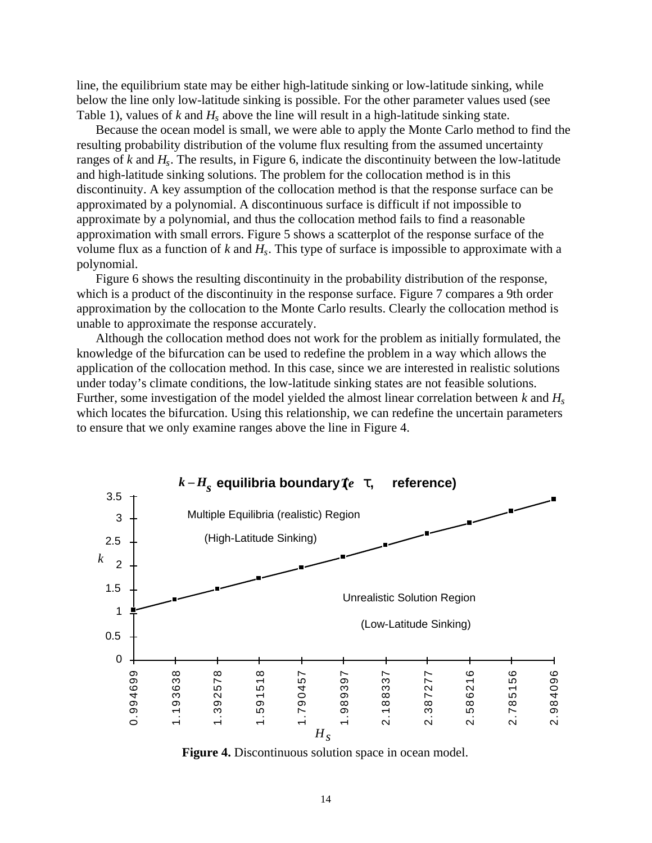line, the equilibrium state may be either high-latitude sinking or low-latitude sinking, while below the line only low-latitude sinking is possible. For the other parameter values used (see Table 1), values of *k* and *Hs* above the line will result in a high-latitude sinking state.

Because the ocean model is small, we were able to apply the Monte Carlo method to find the resulting probability distribution of the volume flux resulting from the assumed uncertainty ranges of *k* and *Hs*. The results, in Figure 6, indicate the discontinuity between the low-latitude and high-latitude sinking solutions. The problem for the collocation method is in this discontinuity. A key assumption of the collocation method is that the response surface can be approximated by a polynomial. A discontinuous surface is difficult if not impossible to approximate by a polynomial, and thus the collocation method fails to find a reasonable approximation with small errors. Figure 5 shows a scatterplot of the response surface of the volume flux as a function of *k* and *Hs*. This type of surface is impossible to approximate with a polynomial.

Figure 6 shows the resulting discontinuity in the probability distribution of the response, which is a product of the discontinuity in the response surface. Figure 7 compares a 9th order approximation by the collocation to the Monte Carlo results. Clearly the collocation method is unable to approximate the response accurately.

Although the collocation method does not work for the problem as initially formulated, the knowledge of the bifurcation can be used to redefine the problem in a way which allows the application of the collocation method. In this case, since we are interested in realistic solutions under today's climate conditions, the low-latitude sinking states are not feasible solutions. Further, some investigation of the model yielded the almost linear correlation between *k* and *Hs* which locates the bifurcation. Using this relationship, we can redefine the uncertain parameters to ensure that we only examine ranges above the line in Figure 4.



**Figure 4.** Discontinuous solution space in ocean model.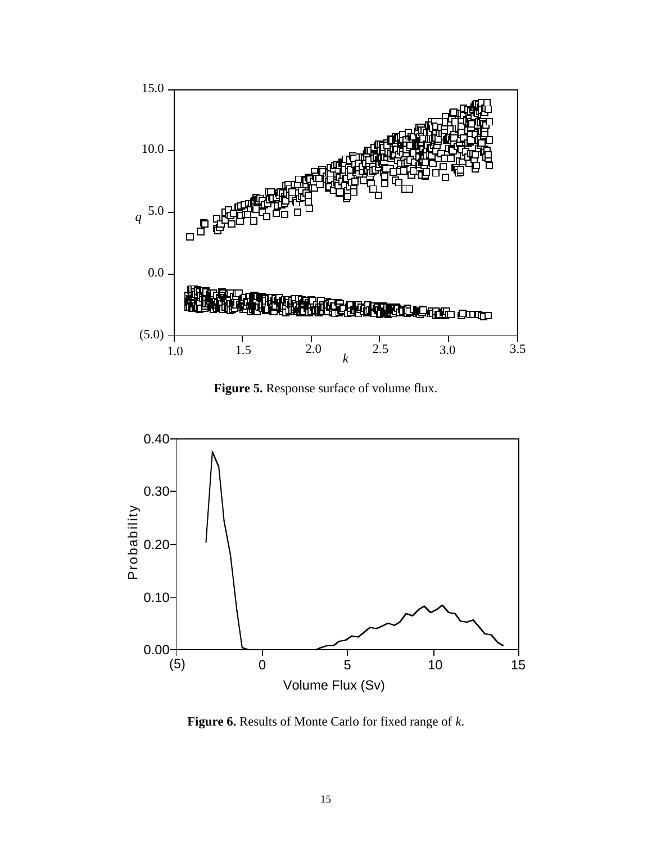

**Figure 5.** Response surface of volume flux.



**Figure 6.** Results of Monte Carlo for fixed range of *k*.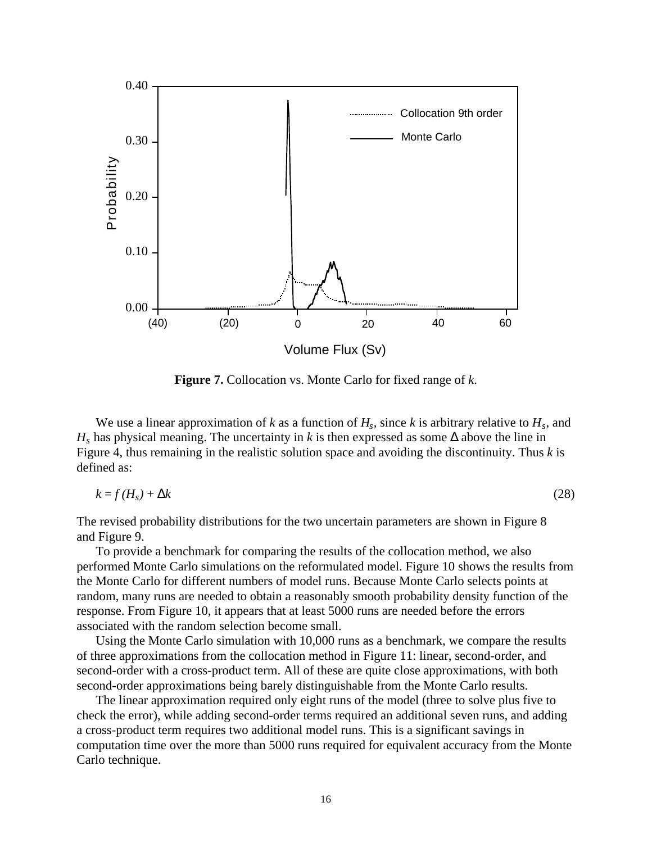

**Figure 7.** Collocation vs. Monte Carlo for fixed range of *k*.

We use a linear approximation of *k* as a function of  $H_s$ , since *k* is arbitrary relative to  $H_s$ , and *H<sub>s</sub>* has physical meaning. The uncertainty in *k* is then expressed as some ∆ above the line in Figure 4, thus remaining in the realistic solution space and avoiding the discontinuity. Thus *k* is defined as:

$$
k = f(H_s) + \Delta k \tag{28}
$$

The revised probability distributions for the two uncertain parameters are shown in Figure 8 and Figure 9.

To provide a benchmark for comparing the results of the collocation method, we also performed Monte Carlo simulations on the reformulated model. Figure 10 shows the results from the Monte Carlo for different numbers of model runs. Because Monte Carlo selects points at random, many runs are needed to obtain a reasonably smooth probability density function of the response. From Figure 10, it appears that at least 5000 runs are needed before the errors associated with the random selection become small.

Using the Monte Carlo simulation with 10,000 runs as a benchmark, we compare the results of three approximations from the collocation method in Figure 11: linear, second-order, and second-order with a cross-product term. All of these are quite close approximations, with both second-order approximations being barely distinguishable from the Monte Carlo results.

The linear approximation required only eight runs of the model (three to solve plus five to check the error), while adding second-order terms required an additional seven runs, and adding a cross-product term requires two additional model runs. This is a significant savings in computation time over the more than 5000 runs required for equivalent accuracy from the Monte Carlo technique.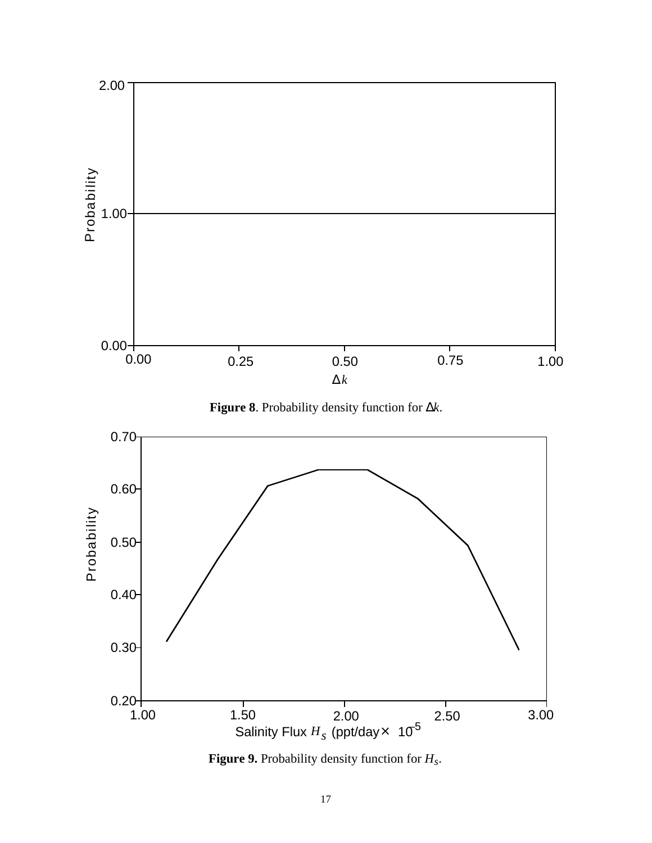

**Figure 8**. Probability density function for ∆*k*.



**Figure 9.** Probability density function for *Hs*.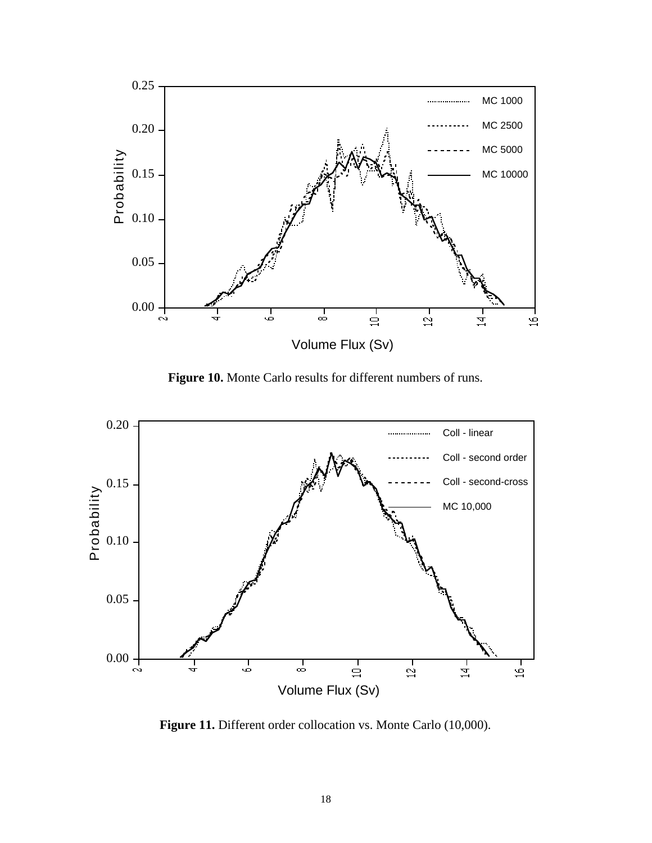

**Figure 10.** Monte Carlo results for different numbers of runs.



**Figure 11.** Different order collocation vs. Monte Carlo (10,000).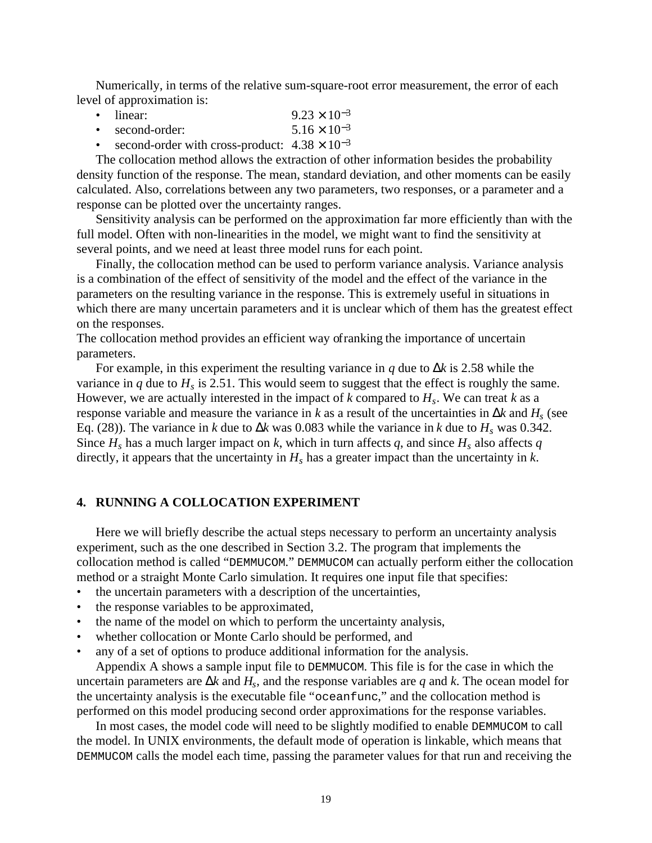Numerically, in terms of the relative sum-square-root error measurement, the error of each level of approximation is:

- linear: 9.23 × 10<sup>-3</sup>
- second-order:  $5.16 \times 10^{-3}$
- second-order with cross-product:  $4.38 \times 10^{-3}$

The collocation method allows the extraction of other information besides the probability density function of the response. The mean, standard deviation, and other moments can be easily calculated. Also, correlations between any two parameters, two responses, or a parameter and a response can be plotted over the uncertainty ranges.

Sensitivity analysis can be performed on the approximation far more efficiently than with the full model. Often with non-linearities in the model, we might want to find the sensitivity at several points, and we need at least three model runs for each point.

Finally, the collocation method can be used to perform variance analysis. Variance analysis is a combination of the effect of sensitivity of the model and the effect of the variance in the parameters on the resulting variance in the response. This is extremely useful in situations in which there are many uncertain parameters and it is unclear which of them has the greatest effect on the responses.

The collocation method provides an efficient way ofranking the importance of uncertain parameters.

For example, in this experiment the resulting variance in *q* due to ∆*k* is 2.58 while the variance in  $q$  due to  $H_s$  is 2.51. This would seem to suggest that the effect is roughly the same. However, we are actually interested in the impact of  $k$  compared to  $H_s$ . We can treat  $k$  as a response variable and measure the variance in *k* as a result of the uncertainties in ∆*k* and *Hs* (see Eq. (28)). The variance in *k* due to  $\Delta k$  was 0.083 while the variance in *k* due to  $H_s$  was 0.342. Since  $H_s$  has a much larger impact on *k*, which in turn affects *q*, and since  $H_s$  also affects *q* directly, it appears that the uncertainty in  $H_s$  has a greater impact than the uncertainty in  $k$ .

### **4. RUNNING A COLLOCATION EXPERIMENT**

Here we will briefly describe the actual steps necessary to perform an uncertainty analysis experiment, such as the one described in Section 3.2. The program that implements the collocation method is called "DEMMUCOM." DEMMUCOM can actually perform either the collocation method or a straight Monte Carlo simulation. It requires one input file that specifies:

- the uncertain parameters with a description of the uncertainties,
- the response variables to be approximated,
- the name of the model on which to perform the uncertainty analysis,
- whether collocation or Monte Carlo should be performed, and
- any of a set of options to produce additional information for the analysis.

Appendix A shows a sample input file to DEMMUCOM. This file is for the case in which the uncertain parameters are ∆*k* and *Hs*, and the response variables are *q* and *k*. The ocean model for the uncertainty analysis is the executable file "oceanfunc," and the collocation method is performed on this model producing second order approximations for the response variables.

In most cases, the model code will need to be slightly modified to enable DEMMUCOM to call the model. In UNIX environments, the default mode of operation is linkable, which means that DEMMUCOM calls the model each time, passing the parameter values for that run and receiving the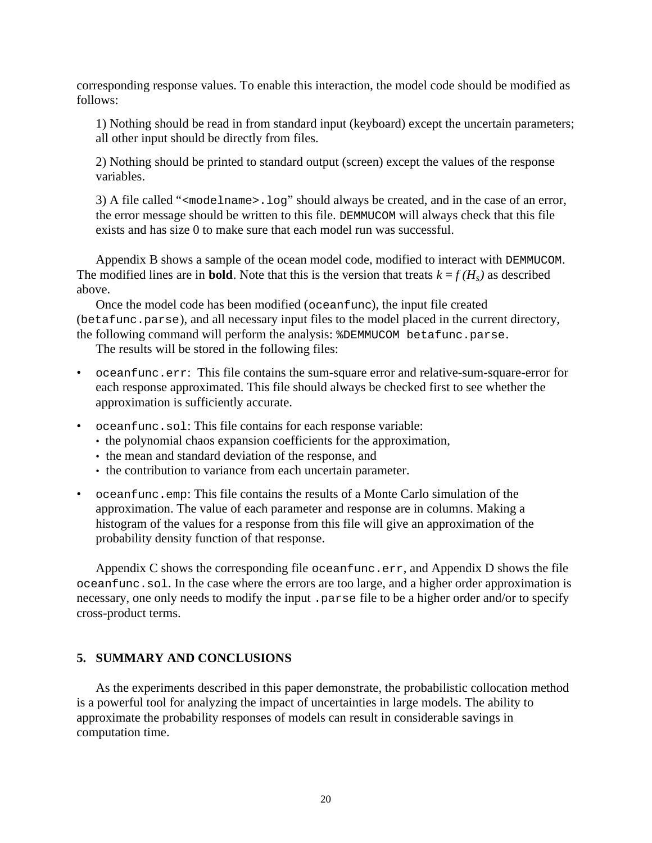corresponding response values. To enable this interaction, the model code should be modified as follows:

1) Nothing should be read in from standard input (keyboard) except the uncertain parameters; all other input should be directly from files.

2) Nothing should be printed to standard output (screen) except the values of the response variables.

3) A file called " $\epsilon$  modelname  $>$ . log" should always be created, and in the case of an error, the error message should be written to this file. DEMMUCOM will always check that this file exists and has size 0 to make sure that each model run was successful.

Appendix B shows a sample of the ocean model code, modified to interact with DEMMUCOM. The modified lines are in **bold**. Note that this is the version that treats  $k = f(H_s)$  as described above.

Once the model code has been modified (oceanfunc), the input file created (betafunc.parse), and all necessary input files to the model placed in the current directory, the following command will perform the analysis: %DEMMUCOM betafunc.parse.

The results will be stored in the following files:

- oceanfunc.err: This file contains the sum-square error and relative-sum-square-error for each response approximated. This file should always be checked first to see whether the approximation is sufficiently accurate.
- oceanfunc.sol: This file contains for each response variable:
	- the polynomial chaos expansion coefficients for the approximation,
	- the mean and standard deviation of the response, and
	- the contribution to variance from each uncertain parameter.
- oceanfunc.emp: This file contains the results of a Monte Carlo simulation of the approximation. The value of each parameter and response are in columns. Making a histogram of the values for a response from this file will give an approximation of the probability density function of that response.

Appendix C shows the corresponding file oceanfunc.err, and Appendix D shows the file oceanfunc.sol. In the case where the errors are too large, and a higher order approximation is necessary, one only needs to modify the input .parse file to be a higher order and/or to specify cross-product terms.

## **5. SUMMARY AND CONCLUSIONS**

As the experiments described in this paper demonstrate, the probabilistic collocation method is a powerful tool for analyzing the impact of uncertainties in large models. The ability to approximate the probability responses of models can result in considerable savings in computation time.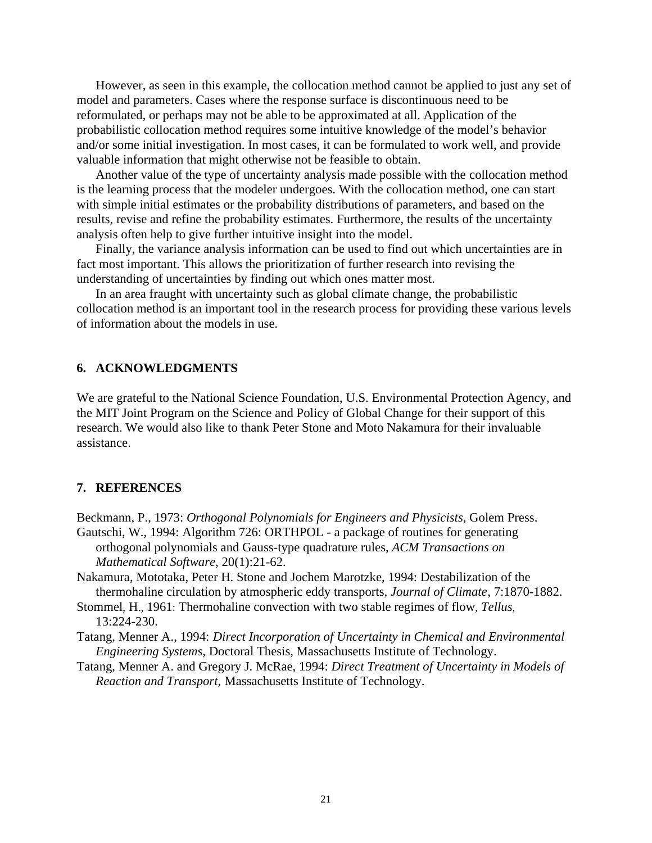However, as seen in this example, the collocation method cannot be applied to just any set of model and parameters. Cases where the response surface is discontinuous need to be reformulated, or perhaps may not be able to be approximated at all. Application of the probabilistic collocation method requires some intuitive knowledge of the model's behavior and/or some initial investigation. In most cases, it can be formulated to work well, and provide valuable information that might otherwise not be feasible to obtain.

Another value of the type of uncertainty analysis made possible with the collocation method is the learning process that the modeler undergoes. With the collocation method, one can start with simple initial estimates or the probability distributions of parameters, and based on the results, revise and refine the probability estimates. Furthermore, the results of the uncertainty analysis often help to give further intuitive insight into the model.

Finally, the variance analysis information can be used to find out which uncertainties are in fact most important. This allows the prioritization of further research into revising the understanding of uncertainties by finding out which ones matter most.

In an area fraught with uncertainty such as global climate change, the probabilistic collocation method is an important tool in the research process for providing these various levels of information about the models in use.

## **6. ACKNOWLEDGMENTS**

We are grateful to the National Science Foundation, U.S. Environmental Protection Agency, and the MIT Joint Program on the Science and Policy of Global Change for their support of this research. We would also like to thank Peter Stone and Moto Nakamura for their invaluable assistance.

#### **7. REFERENCES**

Beckmann, P., 1973: *Orthogonal Polynomials for Engineers and Physicists*, Golem Press. Gautschi, W., 1994: Algorithm 726: ORTHPOL - a package of routines for generating orthogonal polynomials and Gauss-type quadrature rules, *ACM Transactions on Mathematical Software*, 20(1):21-62.

Nakamura, Mototaka, Peter H. Stone and Jochem Marotzke, 1994: Destabilization of the thermohaline circulation by atmospheric eddy transports, *Journal of Climate*, 7:1870-1882.

- Stommel, H., 1961: Thermohaline convection with two stable regimes of flow, *Tellus*, 13:224-230.
- Tatang, Menner A., 1994: *Direct Incorporation of Uncertainty in Chemical and Environmental Engineering Systems*, Doctoral Thesis, Massachusetts Institute of Technology.
- Tatang, Menner A. and Gregory J. McRae, 1994: *Direct Treatment of Uncertainty in Models of Reaction and Transport,* Massachusetts Institute of Technology.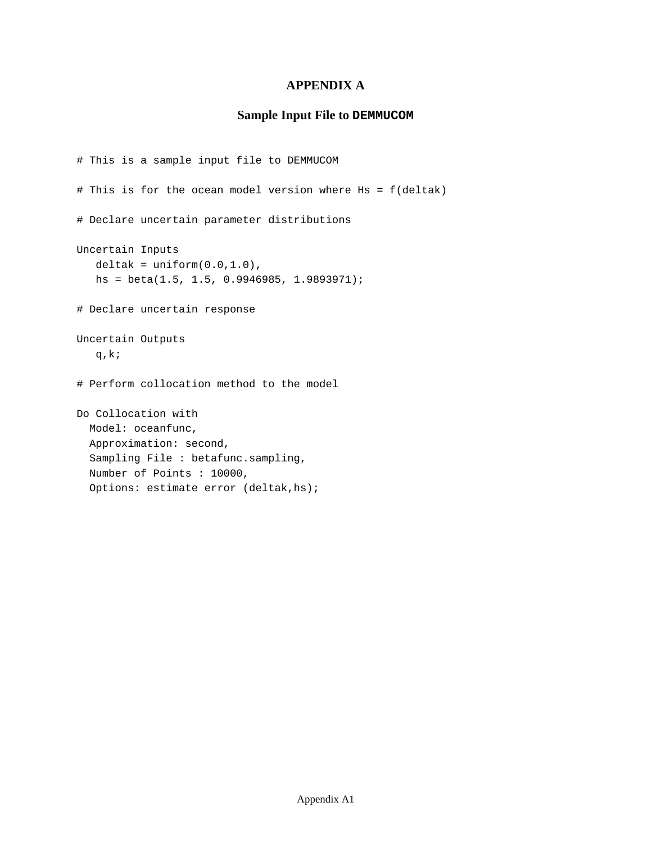## **APPENDIX A**

## **Sample Input File to DEMMUCOM**

```
# This is a sample input file to DEMMUCOM
# This is for the ocean model version where Hs = f(deltak)
# Declare uncertain parameter distributions
Uncertain Inputs
  delta = uniform(0.0, 1.0),
  hs = beta(1.5, 1.5, 0.9946985, 1.9893971);
# Declare uncertain response
Uncertain Outputs
  q,k;
# Perform collocation method to the model
Do Collocation with
  Model: oceanfunc,
   Approximation: second,
   Sampling File : betafunc.sampling,
   Number of Points : 10000,
   Options: estimate error (deltak,hs);
```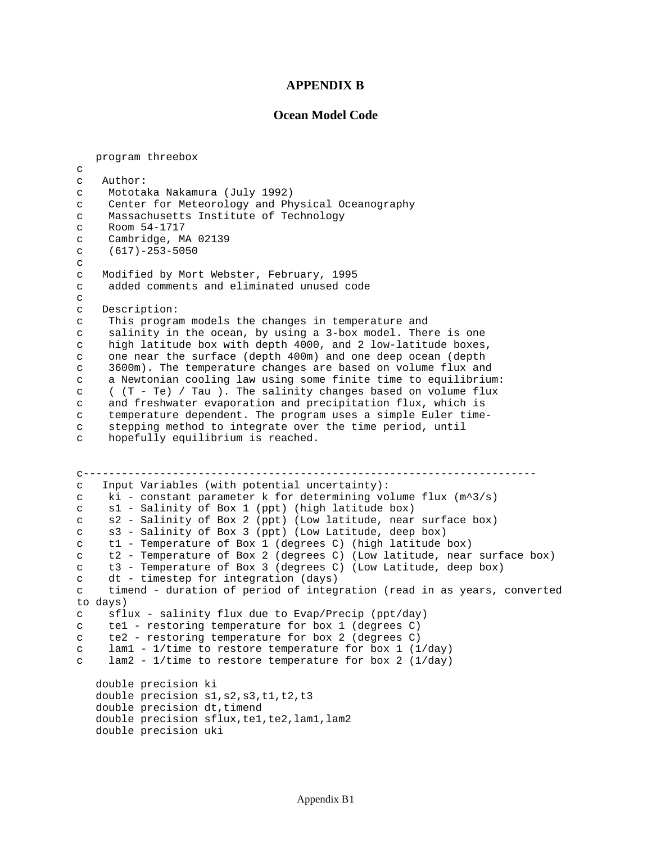#### **APPENDIX B**

#### **Ocean Model Code**

 program threebox  $\mathcal{C}$ c Author: c Mototaka Nakamura (July 1992) c Center for Meteorology and Physical Oceanography c Massachusetts Institute of Technology c Room 54-1717 c Cambridge, MA 02139 c (617)-253-5050  $\Gamma$ c Modified by Mort Webster, February, 1995 c added comments and eliminated unused code  $\epsilon$ c Description: c This program models the changes in temperature and c salinity in the ocean, by using a 3-box model. There is one c high latitude box with depth 4000, and 2 low-latitude boxes, c one near the surface (depth 400m) and one deep ocean (depth c 3600m). The temperature changes are based on volume flux and c a Newtonian cooling law using some finite time to equilibrium: c ( (T - Te) / Tau ). The salinity changes based on volume flux c and freshwater evaporation and precipitation flux, which is c temperature dependent. The program uses a simple Euler timec stepping method to integrate over the time period, until c hopefully equilibrium is reached. c---------------------------------------------------------------------- c Input Variables (with potential uncertainty): c ki - constant parameter k for determining volume flux  $(m^3/s)$ c s1 - Salinity of Box 1 (ppt) (high latitude box) c s2 - Salinity of Box 2 (ppt) (Low latitude, near surface box) c s3 - Salinity of Box 3 (ppt) (Low Latitude, deep box) c t1 - Temperature of Box 1 (degrees C) (high latitude box) c t2 - Temperature of Box 2 (degrees C) (Low latitude, near surface box) c t3 - Temperature of Box 3 (degrees C) (Low Latitude, deep box) c dt - timestep for integration (days) c timend - duration of period of integration (read in as years, converted to days) c sflux - salinity flux due to Evap/Precip (ppt/day) c te1 - restoring temperature for box 1 (degrees C) c te2 - restoring temperature for box 2 (degrees C) c lam1 -  $1/t$ ime to restore temperature for box 1 ( $1/day$ ) c lam2 - 1/time to restore temperature for box 2 (1/day) double precision ki double precision s1, s2, s3, t1, t2, t3 double precision dt, timend double precision sflux,te1,te2,lam1,lam2 double precision uki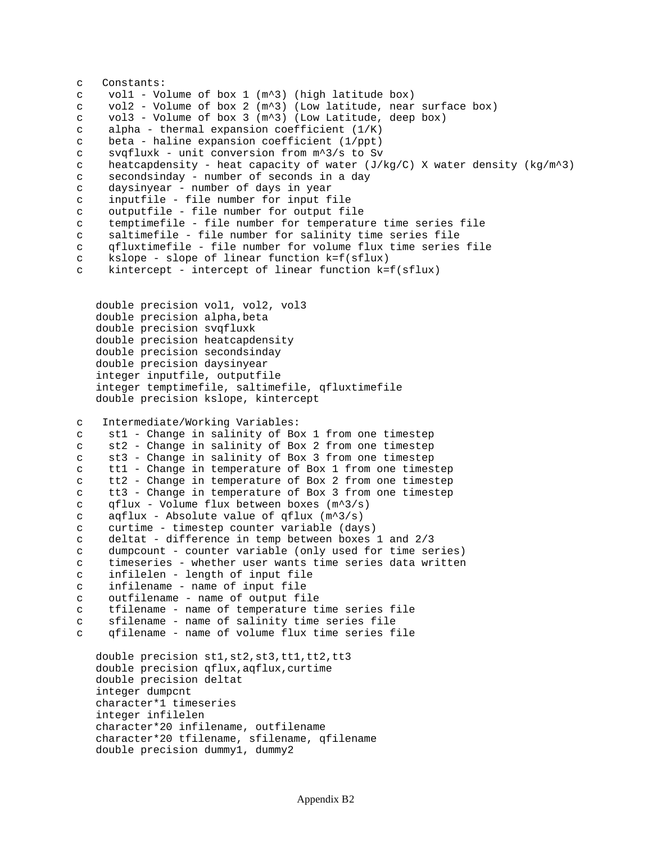```
c Constants:
c vol1 - Volume of box 1 (m^3) (high latitude box)
c vol2 - Volume of box 2 (m^3) (Low latitude, near surface box)
c vol3 - Volume of box 3 (m^3) (Low Latitude, deep box)
c alpha - thermal expansion coefficient (1/K)
c beta - haline expansion coefficient (1/ppt)
c svqfluxk - unit conversion from m^3/s to Sv
c heatcapdensity - heat capacity of water (J/kg/C) X water density (kg/m^2)c secondsinday - number of seconds in a day
c daysinyear - number of days in year
c inputfile - file number for input file
c outputfile - file number for output file
c temptimefile - file number for temperature time series file
c saltimefile - file number for salinity time series file
c qfluxtimefile - file number for volume flux time series file
c kslope - slope of linear function k=f(sflux)
c kintercept - intercept of linear function k=f(sflux)
   double precision vol1, vol2, vol3
    double precision alpha,beta
   double precision svqfluxk
   double precision heatcapdensity
   double precision secondsinday
   double precision daysinyear
    integer inputfile, outputfile
    integer temptimefile, saltimefile, qfluxtimefile
   double precision kslope, kintercept
c Intermediate/Working Variables:
c st1 - Change in salinity of Box 1 from one timestep
c st2 - Change in salinity of Box 2 from one timestep
c st3 - Change in salinity of Box 3 from one timestep
c tt1 - Change in temperature of Box 1 from one timestep
c tt2 - Change in temperature of Box 2 from one timestep
c tt3 - Change in temperature of Box 3 from one timestep
c qflux - Volume flux between boxes (m^3/s)
c aqflux - Absolute value of qflux (m^3/s)
c curtime - timestep counter variable (days)
c deltat - difference in temp between boxes 1 and 2/3
c dumpcount - counter variable (only used for time series)
c timeseries - whether user wants time series data written
c infilelen - length of input file
c infilename - name of input file
c outfilename - name of output file
c tfilename - name of temperature time series file
c sfilename - name of salinity time series file
c qfilename - name of volume flux time series file
   double precision st1,st2,st3,tt1,tt2,tt3
    double precision qflux,aqflux,curtime
   double precision deltat
    integer dumpcnt
    character*1 timeseries
    integer infilelen
    character*20 infilename, outfilename
    character*20 tfilename, sfilename, qfilename
   double precision dummy1, dummy2
```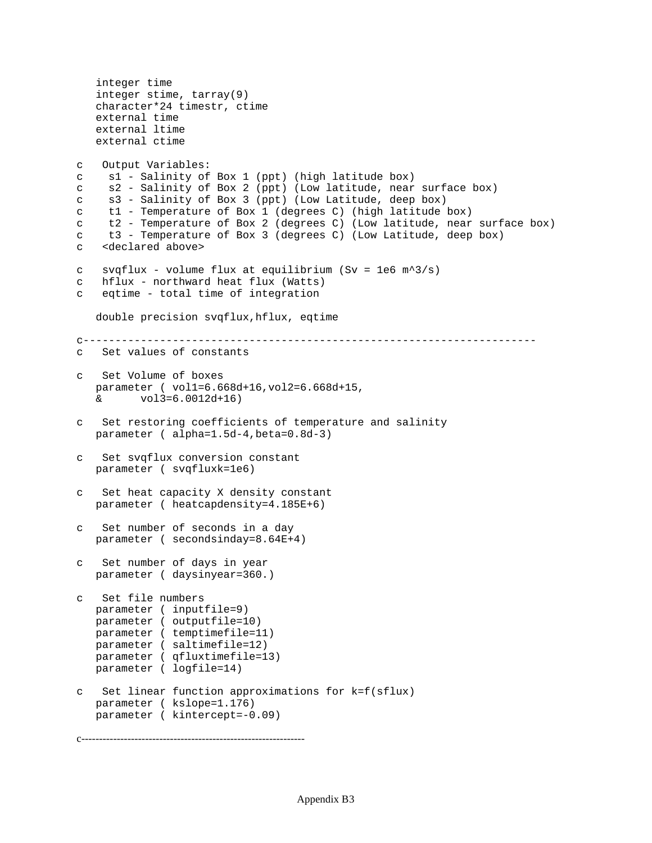```
 integer time
    integer stime, tarray(9)
    character*24 timestr, ctime
    external time
    external ltime
   external ctime
c Output Variables:
c s1 - Salinity of Box 1 (ppt) (high latitude box)
c s2 - Salinity of Box 2 (ppt) (Low latitude, near surface box)
c s3 - Salinity of Box 3 (ppt) (Low Latitude, deep box)
c t1 - Temperature of Box 1 (degrees C) (high latitude box)
c t2 - Temperature of Box 2 (degrees C) (Low latitude, near surface box)
c t3 - Temperature of Box 3 (degrees C) (Low Latitude, deep box)
c <declared above>
c svqflux - volume flux at equilibrium (Sv = 1e6 m^3/s)
c hflux - northward heat flux (Watts)
c eqtime - total time of integration
    double precision svqflux,hflux, eqtime
c-----------------------------------------------------------------------
c Set values of constants
  Set Volume of boxes
    parameter ( vol1=6.668d+16,vol2=6.668d+15,
  \& \text{vol3=6.0012d+16}c Set restoring coefficients of temperature and salinity
   parameter ( alpha=1.5d-4,beta=0.8d-3)
c Set svqflux conversion constant
   parameter ( svqfluxk=1e6)
c Set heat capacity X density constant
   parameter ( heatcapdensity=4.185E+6)
  Set number of seconds in a day
   parameter ( secondsinday=8.64E+4)
c Set number of days in year
   parameter ( daysinyear=360.)
c Set file numbers
   parameter ( inputfile=9)
   parameter ( outputfile=10)
   parameter ( temptimefile=11)
   parameter ( saltimefile=12)
   parameter ( qfluxtimefile=13)
   parameter ( logfile=14)
c Set linear function approximations for k=f(sflux)
   parameter ( kslope=1.176)
   parameter ( kintercept=-0.09)
```
c---------------------------------------------------------------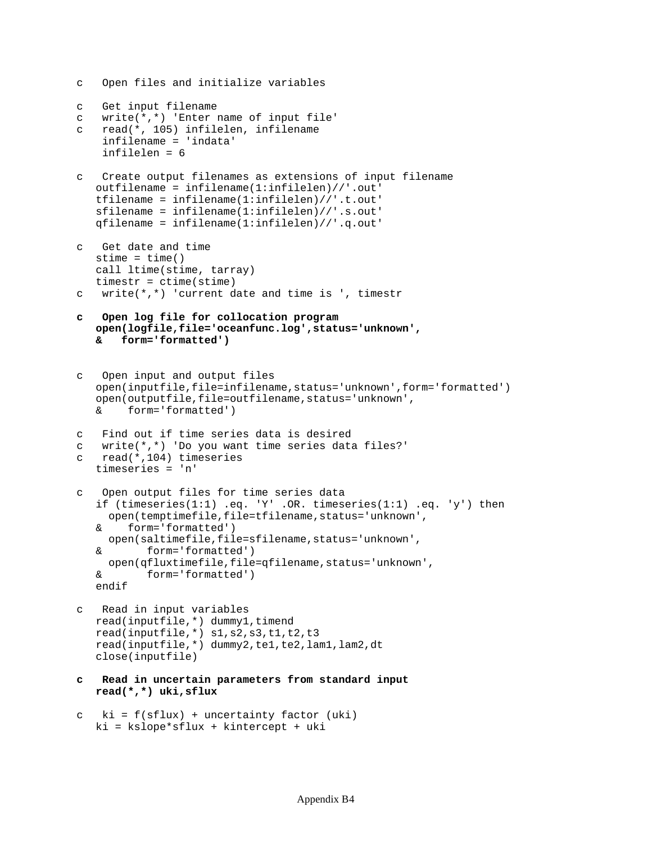```
c Open files and initialize variables
c Get input filename
c write(*,*) 'Enter name of input file'
c read(*, 105) infilelen, infilename
     infilename = 'indata'
     infilelen = 6
  Create output filenames as extensions of input filename
    outfilename = infilename(1:infilelen)//'.out'
    tfilename = infilename(1:infilelen)//'.t.out'
    sfilename = infilename(1:infilelen)//'.s.out'
    qfilename = infilename(1:infilelen)//'.q.out'
  Get date and time
   stime = time() call ltime(stime, tarray)
   timestr = ctime(stime)
c write(*,*) 'current date and time is ', timestr
  c Open log file for collocation program
   open(logfile,file='oceanfunc.log',status='unknown',
    & form='formatted')
  Open input and output files
    open(inputfile,file=infilename,status='unknown',form='formatted')
    open(outputfile,file=outfilename,status='unknown',
    & form='formatted')
c Find out if time series data is desired
c write(*,*) 'Do you want time series data files?'
c read(*,104) timeseries
   timeseries = 'n'
c Open output files for time series data
    if (timeseries(1:1) .eq. 'Y' .OR. timeseries(1:1) .eq. 'y') then
     open(temptimefile,file=tfilename,status='unknown',
    & form='formatted')
     open(saltimefile,file=sfilename,status='unknown',
    & form='formatted')
     open(qfluxtimefile,file=qfilename,status='unknown',
    & form='formatted')
    endif
c Read in input variables
  read(inputfile,*) dummy1, timend
    read(inputfile,*) s1,s2,s3,t1,t2,t3
    read(inputfile,*) dummy2,te1,te2,lam1,lam2,dt
    close(inputfile)
c Read in uncertain parameters from standard input
   read(*,*) uki,sflux
c ki = f(sflux) + uncertainty factor (uki)
```

```
 ki = kslope*sflux + kintercept + uki
```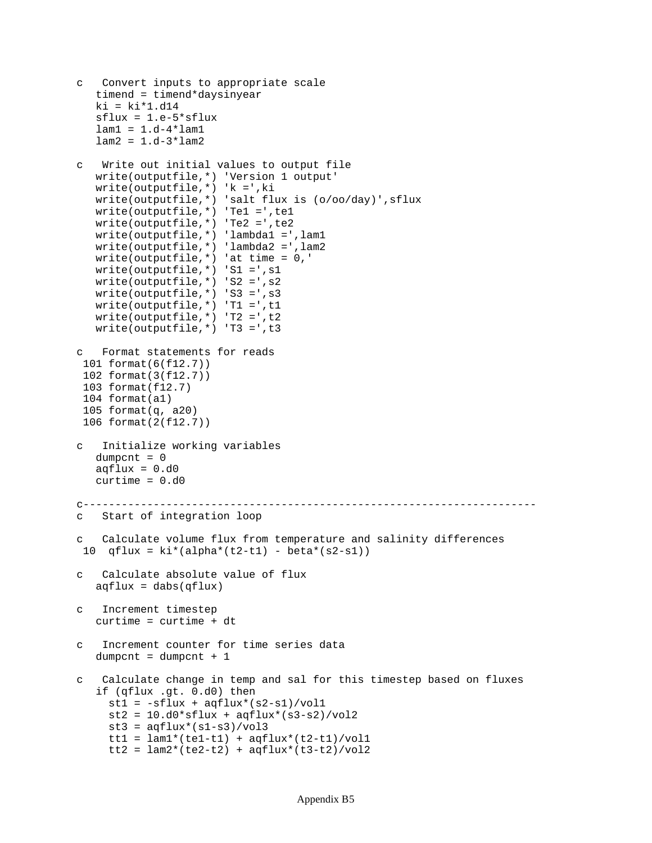```
c Convert inputs to appropriate scale
    timend = timend*daysinyear
   ki = ki*1.d14 sflux = 1.e-5*sflux
   lam1 = 1.d-4*lam1lam2 = 1.d-3*lam2Write out initial values to output file
   write(outputfile,*) 'Version 1 output'
   write(outputfile,*) 'k =',ki
   write(outputfile,*) 'salt flux is (o/oo/day)',sflux
   write(outputfile,*) 'Te1 =',te1
   write(outputfile,*) 'Te2 =',te2
   write(outputfile,*) 'lambda1 =',lam1
   write(outputfile,*) 'lambda2 =',lam2
   write(outputfile,*) 'at time = 0,'
   write(outputfile,*) 'S1 =',s1
   write(outputfile,*) 'S2 =',s2
   write(outputfile,*) 'S3 =',s3
   write(outputfile,*) 'T1 =',t1
   write(outputfile,*) 'T2 =',t2
   write(outputfile,*) 'T3 =',t3
c Format statements for reads
 101 format(6(f12.7))
  102 format(3(f12.7))
 103 format(f12.7)
  104 format(a1)
  105 format(q, a20)
  106 format(2(f12.7))
  c Initialize working variables
  dumpcnt = 0aqflux = 0.d0 curtime = 0.d0
c-----------------------------------------------------------------------
c Start of integration loop
c Calculate volume flux from temperature and salinity differences
10 qflux = ki*(alpha*(t2-t1) - beta*(s2-s1))c Calculate absolute value of flux
   aqflux = dabs(qflux)c Increment timestep
    curtime = curtime + dt
c Increment counter for time series data
   dumpcnt = dumpcnt + 1
c Calculate change in temp and sal for this timestep based on fluxes
    if (qflux .gt. 0.d0) then
    st1 = -sflux + aqflux*(s2-s1)/vol1st2 = 10.d0*sflux + aqflux*(s3-s2)/vol2st3 = aqflux*(sl-s3)/vol3tt1 = lam1*(tel-t1) + aqflux*(t2-t1)/vol1tt2 = lam2*(te2-t2) + aqflux*(t3-t2)/vol2
```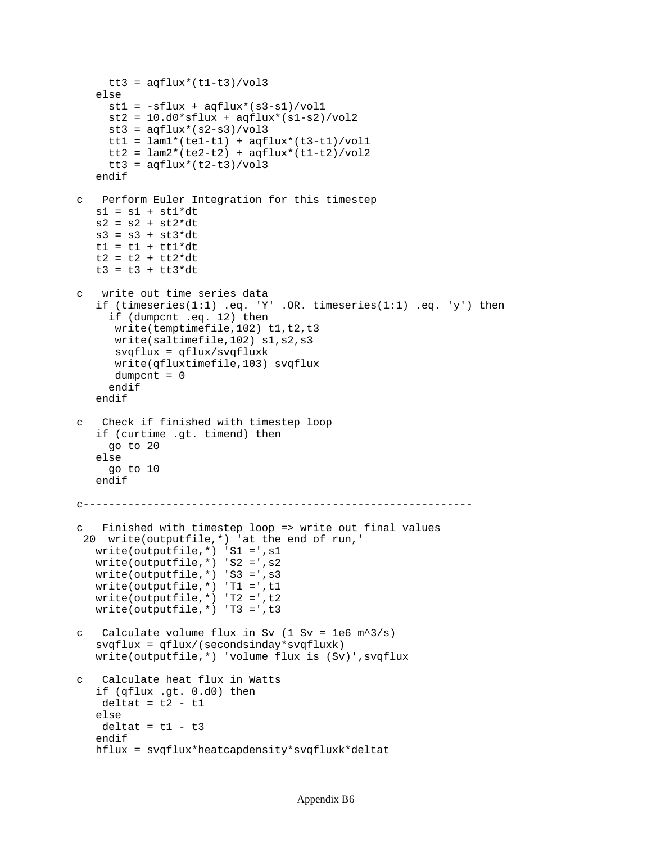```
tt3 = aqflux*(tl-t3)/vol3 else
     st1 = -sflux + aqflux*(s3-s1)/vol1st2 = 10.d0*stlux + aqflux*(sl-s2)/vol2st3 = aqflux*(s2-s3)/vol3tt1 = lam1*(tel-t1) + aqflux*(t3-t1)/vol1tt2 = lam2*(te2-t2) + aqflux*(t1-t2)/vol2tt3 = \text{aqflux}*(t2-t3)/\text{vol}3 endif
c Perform Euler Integration for this timestep
   sl = sl + st1*dts2 = s2 + st2 * dts3 = s3 + st3*dtt1 = t1 + t1 * dtt2 = t2 + tt2*dtt3 = t3 + t53 * dtc write out time series data
    if (timeseries(1:1) .eq. 'Y' .OR. timeseries(1:1) .eq. 'y') then
      if (dumpcnt .eq. 12) then
      write(temptimefile,102) t1,t2,t3
       write(saltimefile,102) s1,s2,s3
       svqflux = qflux/svqfluxk
       write(qfluxtimefile,103) svqflux
       dumpcnt = 0
      endif
    endif
c Check if finished with timestep loop
    if (curtime .gt. timend) then
     go to 20
    else
     go to 10
    endif
c-------------------------------------------------------------
c Finished with timestep loop => write out final values
  20 write(outputfile,*) 'at the end of run,'
    write(outputfile,*) 'S1 =',s1
    write(outputfile,*) 'S2 =',s2
    write(outputfile,*) 'S3 =',s3
    write(outputfile,*) 'T1 =',t1
   write(outputfile,*) 'T2 =',t2
   write(outputfile,*) 'T3 =',t3
c Calculate volume flux in Sv (1 \text{ Sv} = 1\text{e6 m}^3/\text{s}) svqflux = qflux/(secondsinday*svqfluxk)
    write(outputfile,*) 'volume flux is (Sv)',svqflux
c Calculate heat flux in Watts
    if (qflux .gt. 0.d0) then
   delta = t2 - t1 else
   deltat = t1 - t3 endif
    hflux = svqflux*heatcapdensity*svqfluxk*deltat
```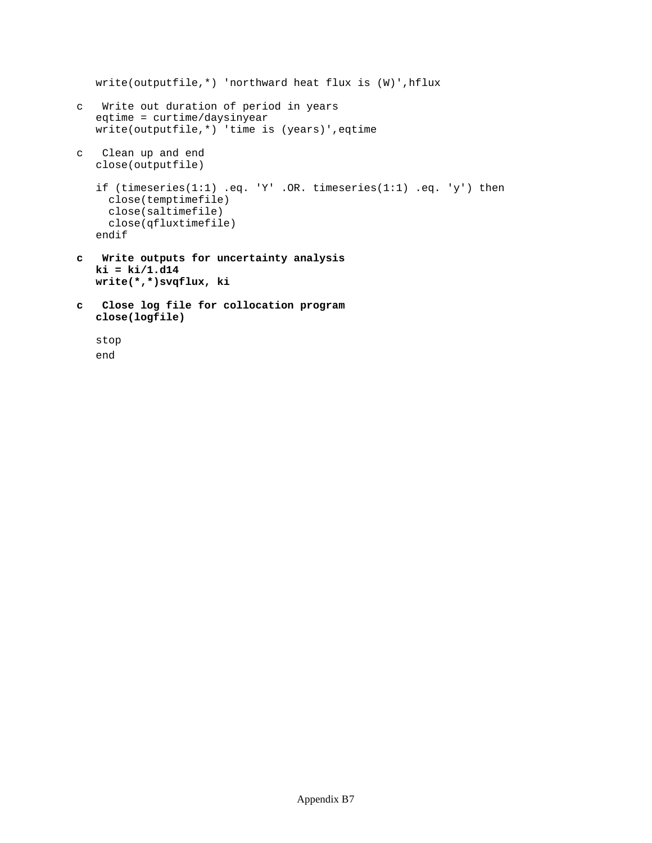```
 write(outputfile,*) 'northward heat flux is (W)',hflux
c Write out duration of period in years
    eqtime = curtime/daysinyear
   write(outputfile,*) 'time is (years)',eqtime
c Clean up and end
   close(outputfile)
    if (timeseries(1:1) .eq. 'Y' .OR. timeseries(1:1) .eq. 'y') then
     close(temptimefile)
     close(saltimefile)
     close(qfluxtimefile)
    endif
c Write outputs for uncertainty analysis
   ki = ki/1.d14
   write(*,*)svqflux, ki
c Close log file for collocation program
   close(logfile)
```

```
 stop
 end
```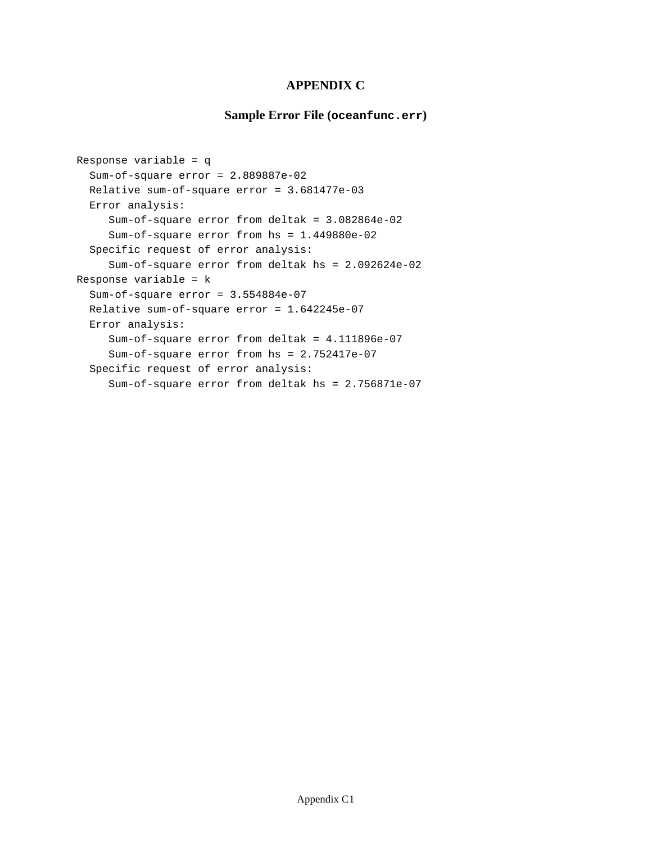## **APPENDIX C**

# **Sample Error File (oceanfunc.err)**

```
Response variable = q
   Sum-of-square error = 2.889887e-02
   Relative sum-of-square error = 3.681477e-03
   Error analysis:
      Sum-of-square error from deltak = 3.082864e-02
      Sum-of-square error from hs = 1.449880e-02
   Specific request of error analysis:
      Sum-of-square error from deltak hs = 2.092624e-02
Response variable = k
   Sum-of-square error = 3.554884e-07
   Relative sum-of-square error = 1.642245e-07
   Error analysis:
      Sum-of-square error from deltak = 4.111896e-07
      Sum-of-square error from hs = 2.752417e-07
   Specific request of error analysis:
      Sum-of-square error from deltak hs = 2.756871e-07
```